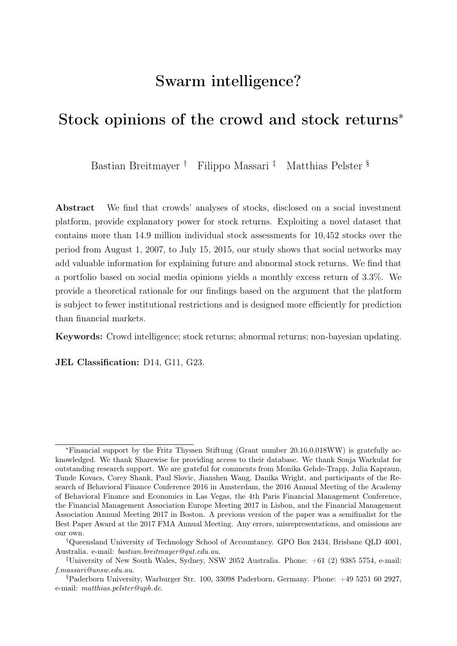# Swarm intelligence?

# Stock opinions of the crowd and stock returns<sup>∗</sup>

Bastian Breitmayer † Filippo Massari ‡ Matthias Pelster §

Abstract We find that crowds' analyses of stocks, disclosed on a social investment platform, provide explanatory power for stock returns. Exploiting a novel dataset that contains more than 14.9 million individual stock assessments for 10,452 stocks over the period from August 1, 2007, to July 15, 2015, our study shows that social networks may add valuable information for explaining future and abnormal stock returns. We find that a portfolio based on social media opinions yields a monthly excess return of 3.3%. We provide a theoretical rationale for our findings based on the argument that the platform is subject to fewer institutional restrictions and is designed more efficiently for prediction than financial markets.

Keywords: Crowd intelligence; stock returns; abnormal returns; non-bayesian updating.

JEL Classification: D14, G11, G23.

<sup>∗</sup>Financial support by the Fritz Thyssen Stiftung (Grant number 20.16.0.018WW) is gratefully acknowledged. We thank Sharewise for providing access to their database. We thank Sonja Warkulat for outstanding research support. We are grateful for comments from Monika Gehde-Trapp, Julia Kapraun, Tunde Kovacs, Corey Shank, Paul Slovic, Jianshen Wang, Danika Wright, and participants of the Research of Behavioral Finance Conference 2016 in Amsterdam, the 2016 Annual Meeting of the Academy of Behavioral Finance and Economics in Las Vegas, the 4th Paris Financial Management Conference, the Financial Management Association Europe Meeting 2017 in Lisbon, and the Financial Management Association Annual Meeting 2017 in Boston. A previous version of the paper was a semifinalist for the Best Paper Award at the 2017 FMA Annual Meeting. Any errors, misrepresentations, and omissions are our own.

<sup>†</sup>Queensland University of Technology School of Accountancy. GPO Box 2434, Brisbane QLD 4001, Australia. e-mail: bastian.breitmayer@qut.edu.au.

<sup>&</sup>lt;sup>‡</sup>University of New South Wales, Sydney, NSW 2052 Australia. Phone:  $+61$  (2) 9385 5754, e-mail: f.massari@unsw.edu.au.

 $$Paderborn University, Warburger Str. 100, 33098 Paderborn, Germany. Phone: +49 5251 60 2927,$ e-mail: matthias.pelster@upb.de.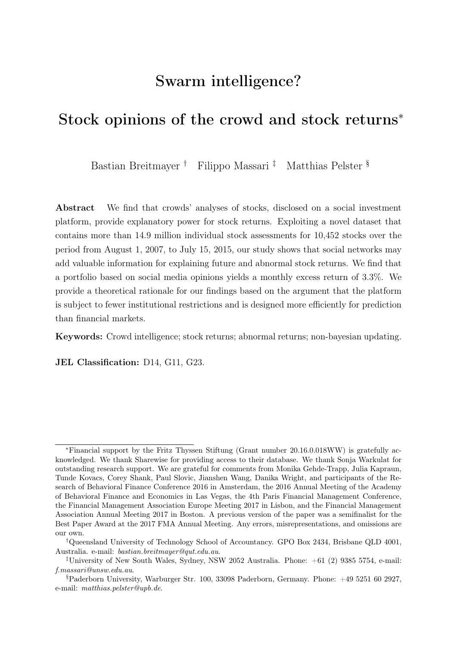# 1 Introduction

This study investigates the explanatory power of stock price analyses shared on a social network designed to discuss stocks. Understanding the relevance of information shared within such a social network is important for several reasons. First, buy and sell recommendations made in these networks may have implications for returns of individual investors who execute financial transactions accordingly.<sup>[1](#page-1-0)</sup> Second, regulators need to adjust their compliance requirements for financial advisers as social media is disrupting the traditional client-adviser relationship and shows an increasing number of users [\(The](#page-33-0) [Securities and Exchange Commission, 2012\)](#page-33-0). Third, reacting to the new competition, established investment banks such as Goldman Sachs have started to adopt the business model of online social investment networks.<sup>[2](#page-1-1)</sup> Thus, studying the explanatory power of information shared on social investment platforms helps to improve our understanding of developments in the financial services industry.

The idea of social investment platforms such as Sharewise, Seeking Alpha, StockTwits, or Estimize is to make use of the wisdom of crowds. This concept, first discussed by [Galton](#page-31-0) [\(1907\)](#page-31-0), is simple: on aggregate, many users reach better decisions than an individual (professional). [Galton](#page-31-0) [\(1907\)](#page-31-0) demonstrates that under certain circumstances, social community decisions are more precise than estimates of an individual or a few experts (see also [Lorge et al., 1958;](#page-32-0) [Hommes et al., 2005;](#page-32-1) [Yaniv and Milyavsky, 2007\)](#page-34-0). [Surowiecki](#page-33-1) [\(2004\)](#page-33-1) specifies this phenomenon as the wisdom of crowds and contends that individual estimates contain subjective errors. A piece of identical information may be perceived and evaluated differently depending on personal preferences, expectations and experience [\(Vasile et al., 2012\)](#page-34-1). By combining all individual estimates, individual errors will disappear while the true information remains.

It is particularly important that the recommendation in the context of social investment

<span id="page-1-0"></span><sup>&</sup>lt;sup>1</sup>Data obtained from  $SimilarWeb-website \ traffic \ statistics$  indicates that the social network, which we use in this study, i.e., Sharewise, has over 300,000 monthly visitors. Of those visitors, approximately 15% arrive from financial news websites and approximately 9% continue to online banking websites, which indicates that the *Sharewise* community uses the platform in the context of investment decisions.

<span id="page-1-1"></span><sup>2</sup>Goldman Sachs has invested in a social investment platform, i.e., Motif Investing.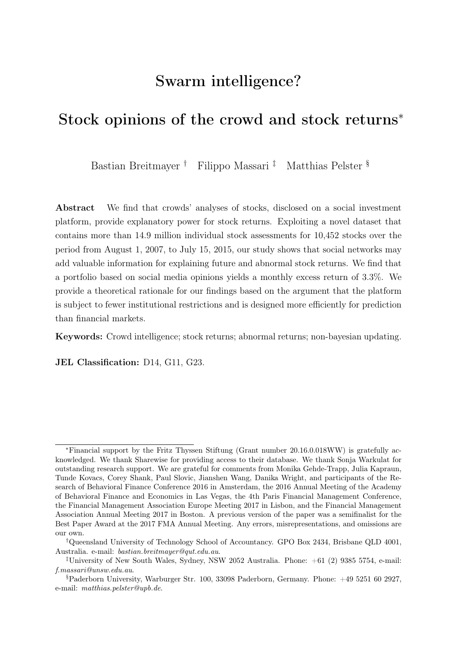platforms such as Sharewise does not comprise the individual peer-based advice but rather the compiled advice of the network, as empirical research provides evidence that individual investors are unable to outperform the market on a long-term basis (see, e.g., [Barber and Odean, 2000;](#page-30-0) [Bollen and Busse, 2004;](#page-30-1) [Busse et al., 2010\)](#page-30-2). In fact, neither professional fund managers [\(Busse et al., 2010\)](#page-30-2) nor private households exhibit performance persistence in their trading activities [\(Barber and Odean, 2000\)](#page-30-0).

Our paper empirically and theoretically examines whether stock price analyses of a social crowd provide explanatory power for future stock returns. Our empirical investigations are based on crowd stock recommendations obtained from the social investment platform Sharewise (www. sharewise.com). We rely on Sharewise data because the platform offers its users an instant and standardized forum for sharing stock opinions. Investors can observe the results of shared stock price assessments in one final quantified target price associated with a simple buy or sell recommendation and, thus, do not face the risk of misinterpreting verbalized opinions (e.g., expressed in textual form as a comment). The platform provider (Sharewise) aggregates all individual user opinions and reports a crowd consensus target price with a corresponding buy or sell recommendation as soon as new information—in the form of a new stock assessment by one of its users—becomes available. We exploit all 14.9 million stock price opinions that were disclosed on the website between August 2007 and July 2015, covering 10,452 different stocks.

As demonstrated by [Da and Huang](#page-31-1) [\(2018\)](#page-31-1), independent assessments of users are an important determinant for the accuracy of the consensus forecast as they increase the amount of private information in the consensus. With a social media or email account as the only entry barrier, we argue that everyone is able to become a member of the Sharewise community. As a consequence, Sharewise's social community faces a low risk of a systematic user selection bias (as, e.g., a minimum amount of invested capital would impose). As the idea of the wisdom of crowds or swarm intelligence is based on a large community of non-experts making more precise estimates than a small group of experts [\(Galton, 1907;](#page-31-0) [Lorge et al., 1958;](#page-32-0) [Surowiecki, 2004;](#page-33-1) [Yaniv and Milyavsky, 2007\)](#page-34-0), we argue that the large *Sharewise* community with its limited barriers to entry represents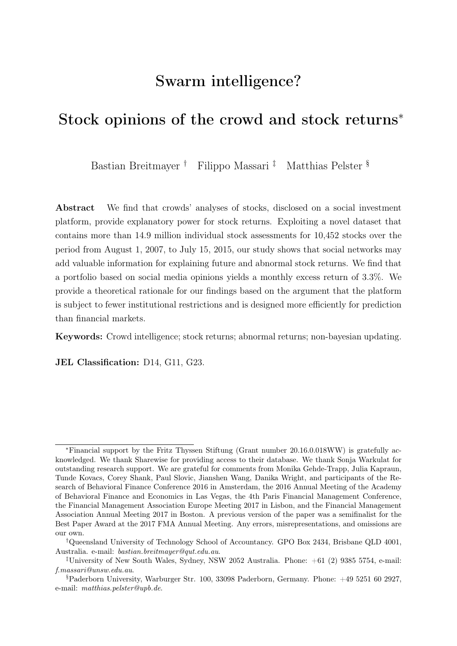an excellent setting to analyze the wisdom of crowds.[3](#page-3-0)

Supporters of the efficient market hypothesis might be suspicious of our findings. Part of our contribution is to provide a theoretical argument explaining how the crowd consensus can have predictive power over market prices. We start by referring to the standard argument that the market is hard to predict because it is a good aggregator of information [\(Fama and French, 2015\)](#page-31-2). Then, we observe that information does not flow freely in the financial market and that the main scope of a financial market is the redistribution of wealth, rather than correctly predicting changes in the fundamentals. We conclude by citing known results in statistics and computer science [\(Hannan, 1957;](#page-32-2) [Foster and Vohra,](#page-31-3) [1999\)](#page-31-3) demonstrating that the known qualitative features of the Sharewise consensus algorithm are specifically designed to improve upon the prediction accuracy of an algorithm with the qualitative feature of financial markets. The *Sharewise* consensus predicts future market prices better than the market because the Sharewise platform facilitates a transparent exchange of information and uses an aggregator algorithm which is optimized for prediction rather than the redistribution of wealth.

Even if the assessments made by the users of a large social community impart not only value-relevant news concerning the future development of the stock price but also information regarding stock-specific investor sentiment, this does not necessarily mitigate the value of these opinions. For example, as shown by [Baker and Wurgler](#page-30-3) [\(2006\)](#page-30-3), investor sentiment has implications for the cross-sectional returns of stocks with subjective valuation components. Similarly, [De Long et al.](#page-31-4) [\(1990\)](#page-31-4) show that noise-trader strategies, which are based on investor sentiment rather than rational information, are related to stock returns. In general, this investor sentiment is associated with retail investors [\(Lee](#page-32-3) [et al., 1991;](#page-32-3) [Kumar and Lee, 2006;](#page-32-4) [Barber et al., 2009\)](#page-30-4) and can help explain return comovements [\(Kumar and Lee, 2006\)](#page-32-4). Hence, even the subjective component of the information contained in user stock assessments that can be regarded as sentiment may

<span id="page-3-0"></span><sup>3</sup>However, we acknowledge that lower barriers to entry induce moral hazard and reduced self-restraint for users issuing stock assessments. Further, users are more likely to first consider the recommendations of their peers before issuing their own recommendations. Thus, they may be influenced by previously published opinions. Moreover, users may take advantage of the lower regulation and intentionally spread false information to manipulate other market participants.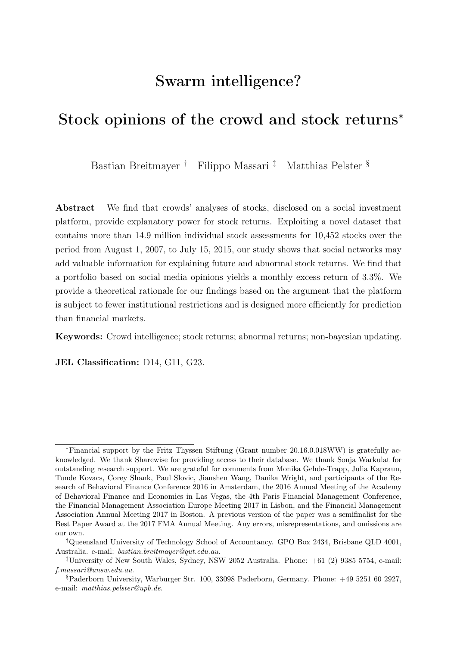contain valuable information for future stock returns.

Research provides evidence for the implications of media attention and online activity for stock markets (see, e.g., [Tetlock, 2007;](#page-33-2) [Da et al., 2011;](#page-31-5) [Engelberg and Parsons, 2011;](#page-31-6) [Chen et al., 2014;](#page-31-7) [Wang et al., 2015;](#page-34-2) [Crawford et al., 2017\)](#page-31-8). For example, [Tetlock](#page-33-2) [\(2007\)](#page-33-2) and [Dougal et al.](#page-31-9) [\(2012\)](#page-31-9) show that content provided by professional journalists has a significant effect on market prices. In addition, [Da et al.](#page-31-5) [\(2011\)](#page-31-5) introduce an online activity measure that captures direct investor attention and predicts future stock prices. More recently, [Chen et al.](#page-31-7) [\(2014\)](#page-31-7) and [Wang et al.](#page-34-2) [\(2015\)](#page-34-2) argue that investors increasingly rely on the decisions of their peers. The authors provide evidence for the usefulness of textual analysis of peer group comments that are disclosed on an online platform. From all of the content provided, investors can identify the valuable information that is relevant to stock prices to make good investment decisions. However, the economical implications of the difference between stock opinions in quantified or textual form are substantial. Changing authors, and associated writing styles, combined with verbalized content that leaves room for interpretation, may cause misunderstanding and erroneous investment decisions based on textual comments. Furthermore, users have no information regarding whether the information provided is already reflected in current security prices. Consequently, the predictive power of textual stock assessments depends on users' ability to extract the bits of valuable information. In contrast, standardized and clearly quantified results of stock analysis leave less room for misinterpretation and, therefore, increase the value of the information provided for investment decisions.

In our study, we analyze whether the cumulative knowledge of the crowd includes valuable stock-specific information that increases the explanatory power of stock performance models. Given that the crowd generates useful information, the stock assessments of the crowd offered on social investment platforms may help predict future stock performance and abnormal returns. We find that the stock opinions offered on the social media platform Sharewise contain information that helps to predict stock returns. We find that a portfolio based on social media opinions yields an excess return of 3.4%. Our results are robust to crowds' level of consensus and high changes in expected stock prices and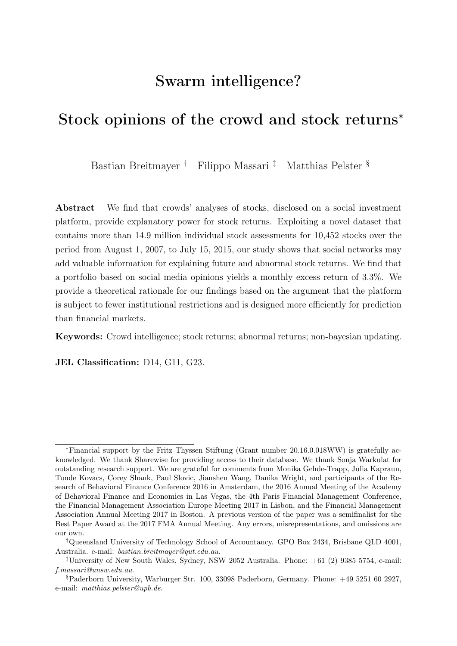buy or sell recommendations. Moreover, we find that the explanatory power does not change when the crowd assesses high-volatility stocks, past poor performers, or stocks with limited media attention. Thus, we contribute by investigating a novel dataset on stock assessments disclosed on a social investment platform. In particular, we provide evidence that standardized crowd opinions contain valuable information for predicting stock returns. Our results are robust to controlling for momentum, short-term reversals, and the investor sentiment factor of [Baker and Wurgler](#page-30-3) [\(2006\)](#page-30-3).

One caveat of our study is that we do not have access to the individual recommendations of single users. Instead, our study relies on the aggregated consensus forecast, which is displayed on the Sharewise website. As a consequence, we are not able to distinguish between the forecast accuracy of individual users and the aggregation algorithm employed by Sharewise. However, we provide detailed information on the qualitative characteristics of the Sharewise algorithm and argue that knowledge of the individual recommendations and the exact specification of weights used in this algorithm is not necessary to show that the Sharewise consensus has predictive power over future prices.

The contribution of our study is the following: Our study extends the research on social media and stock markets and significantly differs from the existing literature, as we do not analyze specific trades but rather the stock-specific price forecasts of a crowd. In contrast to individual trades, we show that the stock opinions of the social crowd have explanatory power for the variation of stock returns in a large international sample across multiple markets. On Sharewise, users do not have to invest real money to share their assessments and investment recommendations. This enables them to more easily share information with the community without any constrains of liquidity or transaction costs. Yet, individual investors are able to benefit from the shared information by following the recommendations of the social crowd in their real investment transactions.

In the previous literature, for instance, [Pan et al.](#page-33-3) [\(2012\)](#page-33-3) rely on eToro data to study the roles of social mechanisms in a financial system. Analyzing individual trades on eToro between August 2010 and January 2012, the authors report that, on average, each trade lost approximately 2.8% in its position size. Similarly, [Liu et al.](#page-32-5) [\(2014\)](#page-32-5) analyze the trades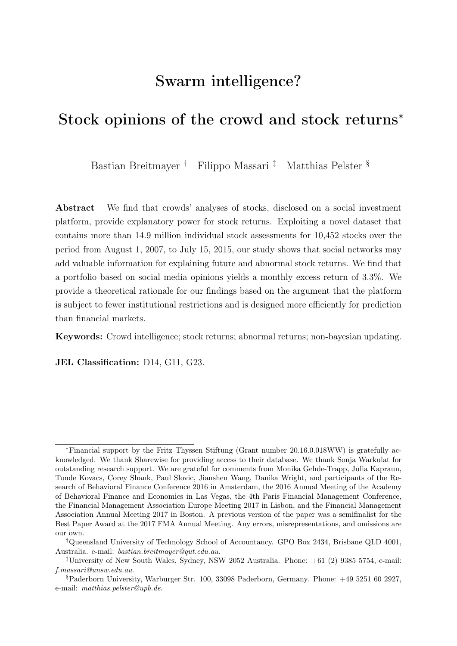on a large social trading platform and find large-scale empirical evidence of prospect theory (see also [Pelster and Hofmann, 2018\)](#page-33-4). [Pelster and Breitmayer](#page-33-5) [\(2019\)](#page-33-5) document that investors are more willing to take risks under the increased scrutiny of their peers, while [Oehler et al.](#page-33-6) [\(2016\)](#page-33-6) study the returns of wikifolio certificates. The authors find that these certificates do not outperform the market on average but show that the best-performing wikifolios earn significant short-term excess return. Most closely related to our study are the works by [Adebambo et al.](#page-30-5) [\(2016\)](#page-30-5); [Avery et al.](#page-30-6) [\(2016\)](#page-30-6); [Chen et al.](#page-31-7) [\(2014\)](#page-31-7); [Da](#page-31-1) [and Huang](#page-31-1) [\(2018\)](#page-31-1); [Jame et al.](#page-32-6) [\(2016\)](#page-32-6); [Tsukioka et al.](#page-33-7) [\(2018\)](#page-33-7), and [Wang et al.](#page-34-2) [\(2015\)](#page-34-2). [Wang et al.](#page-34-2) [\(2015\)](#page-34-2) analyze the content of Seeking Alpha and StockTwits and report a low overall correlation between user assessments and stock performance. Only a small subset of experts from the social media platforms contribute valuable content for predicting future stock returns. However, [Chen et al.](#page-31-7) [\(2014\)](#page-31-7) report that verbalized stock assessments on Seeking Alpha contain strong explanatory power for future stock returns and earnings surprises. Studying the case of IPOs, [Tsukioka et al.](#page-33-7) [\(2018\)](#page-33-7) analyze message data from Yahoo! Japan Finance message boards and show that bullish investor sentiment positively affects IPO offer prices and initial returns. In contrast to these works, we study the value of quantified stock assessments as opposed to opinions in textual form. The studies by [Adebambo et al.](#page-30-5) [\(2016\)](#page-30-5) and [Jame et al.](#page-32-6) [\(2016\)](#page-32-6) document that crowd forecasts of Estimize.com are more accurate than traditional earnings consensus. In particular, [Adebambo et al.](#page-30-5) [\(2016\)](#page-30-5) provide evidence that the geographical proximity of forecasters to firm locations improves forecast accuracy. Analyzing the accuracy of earnings announcements forecasts, [Da and Huang](#page-31-1) [\(2018\)](#page-31-1) determine and randomize the information set users of Estimize.com and provide evidence that independent information sets of users increase the accuracy of the consensus forecast. In contemporaneous research, [Jame et al.](#page-32-7) [\(2017\)](#page-32-7) investigate the influence of increased forecast competition on short-term sell-side biases. In particular, the authors argue that crowds have less conflict of interest than professional analysts and help to discipline other market participants. Their results reveal that crowdsourced predictions reduce sell-side biases and improve sell-side forecast accuracy, thus contributing to market efficiency. In a similar strand of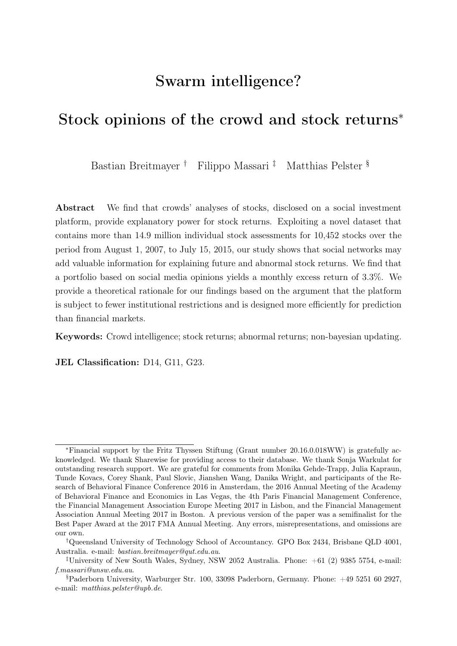literature, collective trading imbalances are exploited to analyze the beliefs of crowds. Several studies from this strand show that retail investors trading imbalance correctly anticipates future stock returns [\(Kaniel et al., 2008,](#page-32-8) [2012;](#page-32-9) [Kelley and Tetlock, 2013\)](#page-32-10), supporting the wisdom of crowds hypothesis.

Further literature on the topic includes [Doering et al.](#page-31-10) [\(2015\)](#page-31-10), who discuss the institutional aspects of social trading platforms and argue that they are able to reduce information asymmetries between investors and portfolio managers. Moreover, the authors document that social trading platforms yield non-normal returns and experience high tail risk. They argue that these platforms offer high transparency, liquidity, and accessibility while providing access to hedge-fund-like returns. [Pedraza and Pulga](#page-33-8) [\(2019\)](#page-33-8) study the effects of peer benchmarking by institutional investors on asset prices and show that peer effects generate abnormal short-term returns followed by reversals in the next quarter, thereby generating excess stock return volatility. Finally, [Pelster](#page-33-9) [\(2017\)](#page-33-9) discusses the impact of social trading platforms on herding behavior and studies the determinants of influential traders on social media.

The remainder of our paper proceeds as follows. In Section [2,](#page-7-0) we introduce and describe our novel dataset. Section [3](#page-15-0) describes our analysis of the relationship between crowd opinions and stock returns and presents our findings. A theoretical justification for the observed phenomenon is provided in Section [4.](#page-22-0) Finally, we summarize our main contribution and discuss further research opportunities.

# <span id="page-7-0"></span>2 Data

This section introduces the novel dataset used in our empirical study, presents the choice of our main dependent and independent variables, and reports descriptive statistics for our data. Table [A.1](#page-38-0) in the appendix includes definitions and data sources for all dependent and independent variables.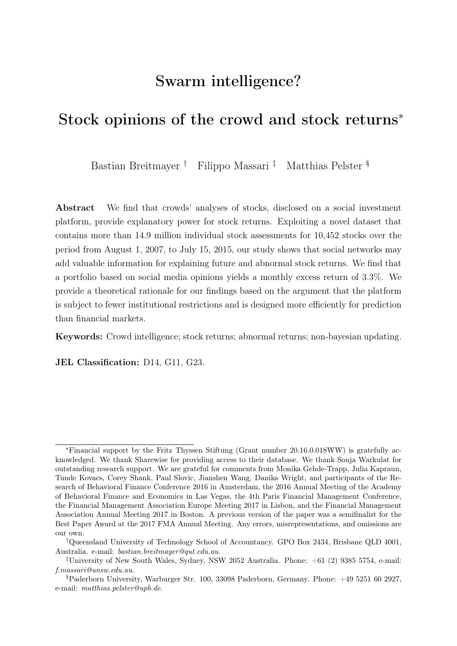# <span id="page-8-1"></span>2.1 Sample construction and data sources

Our empirical investigations rely on data obtained from the social investment platform Sharewise. The website allows its users to deliver an opinion regarding the expected development of individual stocks. Specifically, users can voice buy or sell recommendations and price targets for all stocks traded worldwide. As platform host, Sharewise provides a transparent overview of all user opinions and aggregates the user recommendations into social crowd investment advice. Thus, opinions and investment recommendations are not made directly by Sharewise but by its registered community members. As Sharewise is not a registered broker, dealer, financial advisor, analyst, underwriter, or banker, the platform's self-reported purpose is to be used for information and reference purposes.[4](#page-8-0) Stock performance and firms' fundamental data shown on the platform are provided by Thomson Reuters. All information disclosed on Sharewise are accessible free of charge.

- Place Figure [1](#page-35-0) about here -

Figure [1](#page-35-0) shows the first view of the Sharewise welcome page. In a glance, the website reports price information for major stock market indexes around the world. Next, the welcome page reports the crowd consensus of the five stocks with the currently highest and lowest Potential, that is the price change expected by the crowd, for a selected stock market index. Users find company names, target prices suggested by the crowd, and the expected return for the top five highest and lowest Potential stocks according to the crowd. Scrolling down, the welcome page presents a list (see Figure [2\)](#page-35-1) of the five stocks with the highest and lowest returns of the current trading day and the latest updates of the crowd consensus (see Figure [3\)](#page-36-0). Furthermore, website visitors can find information about the stock of the day, a featured prediction from a selected user, a featured portfolio, and featured news on the welcome page.

- Place Figures [2](#page-35-1) and [3](#page-36-0) about here -

<span id="page-8-0"></span><sup>&</sup>lt;sup>4</sup>See the *Disclaimer* and *About us* section on www. Sharewise.com.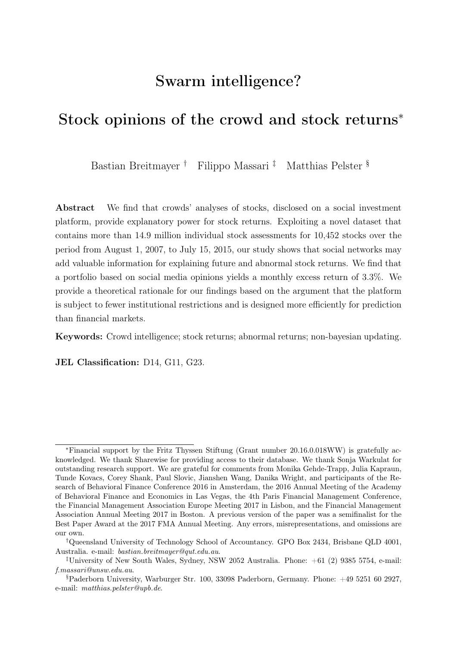Selecting a specific instrument, for example an individual stock, the user can find more detailed information regarding that instrument (see Figure [4\)](#page-36-1). Sharewise reports technical data such as the stock's name, ISIN, and the primary listing exchange, together with the firm's industry and home country. Furthermore, the website shows the current share price, the target price according to the crowd assessments, fundamental analysis, analysts' assessments and a cumulative target price. The company snapshot provides a summary of further key stock facts. Information regarding historical performance, beta, market capitalization, dividend yield, earnings ratio, and several other factors are presented in addition to a small chart depicting recent stock movements.

#### - Place Figure [4](#page-36-1) about here -

In addition to the summary of key facts, more detailed information on the stock assessments is reported at the bottom of the website. First, an overall assessment that considers the fundamental analysis, the crowd assessment and the results provided by professional analysts is described in textual form. A detailed explanation of the fundamental analysis is followed by a report of the results of the crowd assessment and the most recent individual user contributions. The weighted community target price places greater weight on the predictions of users who have a high ranking—users who posses a proven track record of correct assessments in the past—than on the predictions of users who have a lower ranking. Moreover, still active buy predictions, in which the target price is lower than the current price of the stock, are not taken into account (and vice versa for sell predictions).[5](#page-9-0) Finally, the assessments of professional analysts are presented.

Users who wish to gather further firm-related information can obtain several figures from past financial statements (quarterly and annual statements), information about the most recent updates, the latest news coverage, and a press review. In addition, Sharewise provides detailed information on the stock assessments of individual community members. In addition to the target price and date, website visitors can revise the stock price at the

<span id="page-9-0"></span> $5$ The details on the aggregation algorithm are outlined on the *Sharewise* website ([https://www.](https://www.sharewise.com/us/help/about) [sharewise.com/us/help/about](https://www.sharewise.com/us/help/about)). Furthermore, a *Sharewise* employee confirmed the description on the aggregation algorithm in a telephone interview.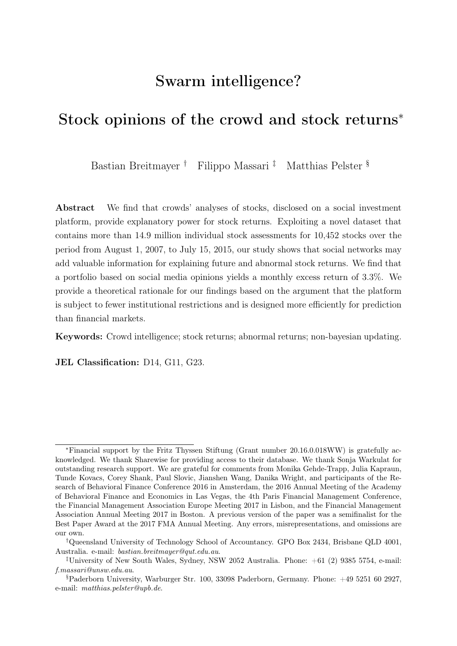time of the assessment, the expected return and the stock return since the assessment was published to obtain a better understanding of user recommendations. Below the key facts regarding the stock opinion, background information indicates whether the user has invested in the stock and the criteria on which the opinion is based. Finally, other users can comment on every stock assessment.

All individual opinions contribute to the aggregated crowd assessment of a stock. Figure [5](#page-37-0) shows the front end of the platform, where users can contribute to the crowd assessment. The top of the page displays the current and most recent change in the stock price. Scrolling down, the website shows the current target price according to the crowd, the fundamental value of the stock, and the results of professional analyst valuations. This information is aggregated into an overall cumulated target price that is calculated by Sharewise. Next, users can submit a buy or sell recommendation and a specified target price to contribute to the crowd assessment. Additionally, they are able to select the timeframe of their assessment and can provide information on the basis for their assessment. Moreover, users can leave a statement on whether they have invested in the stock through a long or short position.

#### - Place Figure [5](#page-37-0) about here -

To investigate whether the Sharewise community contributes valuable information for predicting future stock returns, this study focuses on the crowd consensus. Figure [6](#page-38-1) shows the evolution of the crowd consensus together with the stock price evolution for four selected stocks from our sample.

#### - Place Figure [6](#page-38-1) about here -

Table [1](#page-38-0) provides an example excerpt of the dataset obtained from Sharewise. The dataset includes an observation for each day on which at least one user submitted a recommendation for a given stock. An observation in our dataset contains the date, the ISIN of the underlying, a unique identifier, the number of users who submitted a recommendation to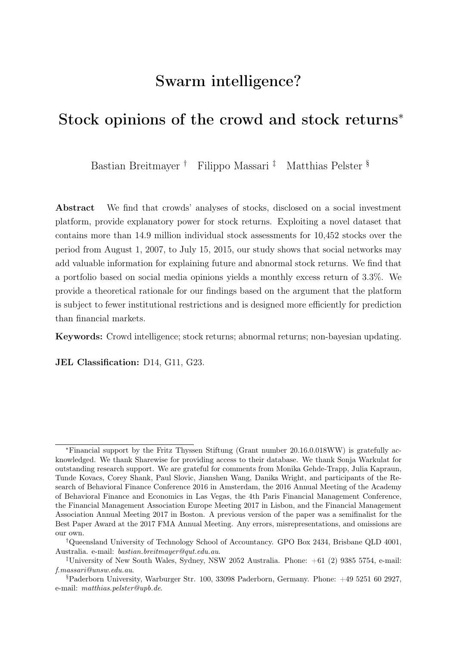buy or sell the stock, and the average expected price as the target price of the crowd at the end of the day.

#### - Place Table [1](#page-38-0) about here -

In total, from August 1, 2007, to July 15, 2015, Sharewise reports 14.9 million individual opinions on  $10,452$  stocks from [6](#page-11-0)5 different countries.<sup>6</sup> The individual opinions are pooled to about 4.7 million opinion days with new crowd assessments, as on various days multiple new opinions regarding a single stock were shared while on other days no new opinions were shared.<sup>[7](#page-11-1)</sup>

We supplement the dataset with daily stock prices (adjusted for dividends) from Thomson Reuters Datastream and calculate the return (Potential) as the price change expected by the crowd. To be specific, we define the Potential to equal (expected price - current price)/current price (adjusted for dividends). In the following, we will use Potential as our main proxy to measure the stock opinions of the Sharewise community. Additional variables, Total buy and Total sell, capture the total number of buy and sell recommendations, respectively, and are reflected in a stock's Potential. Furthermore, we calculate the ratio between total opinion and total buy opinion as a measure of the level of crowd consensus. Our argument is that the crowd's forecasts for stocks with low levels of consensus may be less reliable. Finally, for each stock-quarter, we aggregate the daily observations to one stock-quarter observation by taking averages.

We calculate buy-and-hold returns for six months and estimate six-month abnormal returns following the crowd assessment. Our calculation of abnormal returns is based on the difference between expected and actual returns. Expected returns are estimated using daily stock price data following the [Fama and French](#page-31-2) [\(2015\)](#page-31-2) five-factor asset pricing model. We include the benchmark return on a portfolio of small stocks minus the return on a portfolio of big stocks (SMB), the benchmark return on a portfolio of high

<span id="page-11-0"></span><sup>6</sup>The ten countries with the most stocks in our sample are as follows: United States 3699, Canada 1259, Germany 1186, France 743, United Kingdom 509, Australia 417, Japan 385, Honk Kong 249, Switzerland 228, and Italy 113.

<span id="page-11-1"></span><sup>7</sup>On average, we have 448 days with new stock opinions shared for the stocks in our sample. For several stocks, we have a maximum of 2,141 days with new stock opinions while we only have a single day with new stock opinions for a few stocks as well.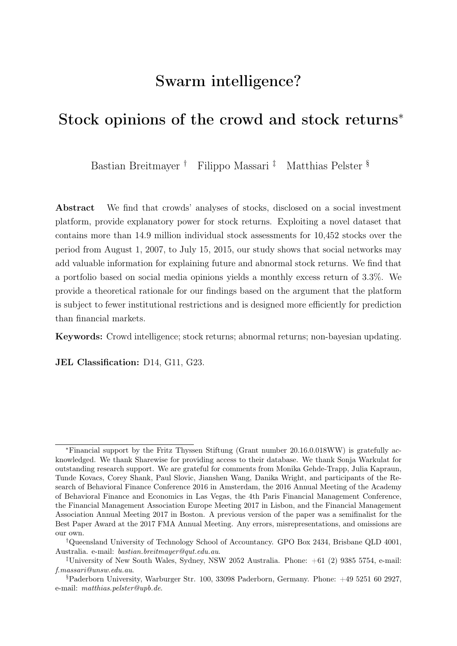book-to-market ratio stocks minus the return on a portfolio of low book-to-market ratio stocks (HML), the benchmark return on a portfolio of stocks with robust profitability minus the return on a portfolio of stocks with weak profitability (RMW), and the benchmark return on a portfolio of low-investment stocks minus the return on a portfolio of high-investment stocks (CMA). The six-month buy-and-hold and abnormal return serve as dependent variables in our analysis.

In additional robustness checks, we rely on several other asset pricing models to estimate expected returns. First, we employ the Carhart four-factor model to control for momentum [\(Carhart, 1997\)](#page-30-7). We also expand the Fama-French five-factor model expanded by the momentum factor proposed by [Carhart](#page-30-7) [\(1997\)](#page-30-7). Next, we estimate expected returns based on a Fama-French five-factor model expanded by a factor capturing short-term reversal. Short-term reversal has been shown to be a robust and economically significant phenomenon in the stock market [\(Da et al., 2014;](#page-31-11) [Fama, 1965\)](#page-31-12). Finally, we estimate expected returns based on a Fama-French five-factor model expanded by the investor sentiment factor proposed by [Baker and Wurgler](#page-30-3) [\(2006\)](#page-30-3). In two different market models, we employ both, the investor sentiment factor based on the standardized sentiment proxies, and the factor based on sentiment proxies orthogonalized with respect to macroeconomic indicators.

As reported by [Ince and Porter](#page-32-11) [\(2006\)](#page-32-11), stock prices in Datastream are subject to several minor data errors. To ensure that these errors do not influence the results of our study, we require all entities to have a minimum share price of \$1 to be included in our sample. For our analysis, we aggregate the daily data containing new stock opinions on a monthly and quarterly basis, respectively, by using the average. Stocks with no new opinions in a given quarter are not included in the final dataset.

## 2.2 Control variables

In addition to the variables discussed above, we include several control variables in our empirical analysis. First, we use stock market and fundamental firm data from Thomson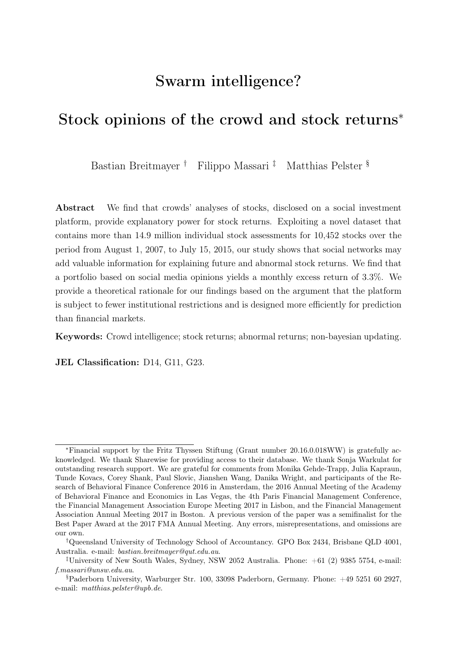Reuters Datastream and Worldscope, which is the data source of firms' fundamental data shown on Sharewise. To proxy for the size of each firm, we use the natural logarithm of a firm's total assets. The stock's book-to-market ratio, defined as the book value of common equity divided by the market value of common equity, serves as a proxy for the stock's valuation. We also consider the dividend yield of a stock. As further control variables, we estimate the Amihud measure of an individual stock's illiquidity, adjusted following the procedure proposed by [Karolyi et al.](#page-32-12) [\(2012\)](#page-32-12).

In addition to fundamental data, Sharewise provides recommendations of professional analysts that are based on data obtained from Thomson Reuters on its website. Therefore, we also control for professional analyst opinions obtained from Thomson Reuters Datastream in our analysis. The professional analyst assessments capture the aggregated analyst opinion regarding the expected return. To control for the ease of the valuation of stocks, we estimate stock volatility. We argue that firms with stocks that exhibit high levels of volatility are difficult to value. We estimate a conditional volatility model using a GARCH(1,1) model and daily data. In addition to the volatility of stock returns, we also estimate the volatility of stock opinions transmitted through Sharewise using daily data. High volatility in stock opinion indicates that the crowd often changes its forecasts, which impedes basing investment decisions on the forecasts. One might expect that stocks with high stock volatility also exhibit high levels of volatility in stock opinions. However, we observe significantly lower volatility for opinions than for stock return data, and the correlation between the two volatility measures is 0.153 and statistically significantly different from zero at the 1% level. This indicates that the two volatility measures do not capture the same effect. Next, as an additional proxy for investor attention introduced by [Da et al.](#page-31-5) [\(2011\)](#page-31-5), we include the stock-related Google search volume index obtained from Google trends in our analysis. The Google search volume allows us to identify the time-variation in *common* investor attention within each stock. In contrast, the number of predictions also captures the cross-sectional variation of investor attention but is limited to the attention on the Sharewise platform. Finally, to control for firm-specific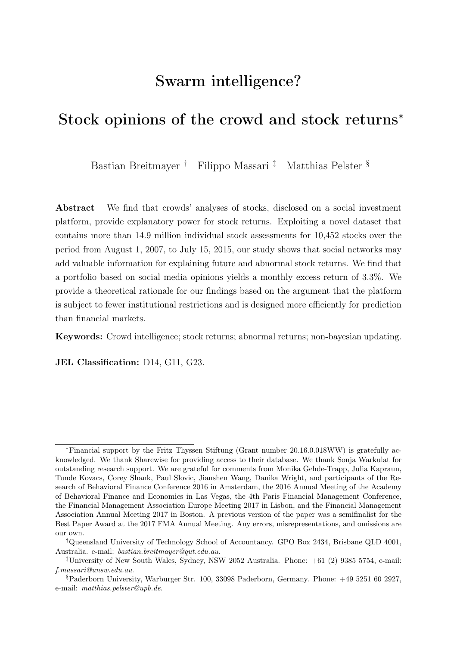news events, we include data on earnings surprises<sup>[8](#page-14-0)</sup> provided by *Thomson Reuters* and an aggregated news sentiment variable provided by Quandl. The Quandl Alpha One Sentiment Article Sentiment is based on articles aggregated from over 20 million news sources. We have to restrict our sample when employing the news sentiment variable, because the Quandl Alpha One Sentiment data is not available for all countries in our sample. In robustness checks, we also consider the distance of the current share price from the 52-week high and the 52-week low in our analysis.

## 2.3 Descriptive statistics

In the following section, we provide some summary statistics for our main data. Table [2](#page-39-0) presents the mean, standard deviation, skewness, and kurtosis, together with median, minimum and maximum values for the total number of opinions shared on Sharewise, the total number of buy recommendations, the total number of sell recommendations, and the Potential. Similar to the Potential, summary statistics on analyst opinions are reported. Moreover, the table presents summary statistics for our dependent variables, the six-month buy-and-hold return and the abnormal return. The statistics show that users are more likely to recommend "buy" rather than "sell". For each stock-quarter, we observe about 140 buy recommendations, as opposed to about 30 sell recommendations. At the same time, however, a separation of Potential with respect to community buy and sell recommendations reveals an overall higher number of sell recommendations. Thus, on average, community sell recommendations are based on fewer single user recommendations than community buy recommendations. This observation is consistent with previous observations documented in the literature: [Muchnik et al.](#page-33-10) [\(2013\)](#page-33-10) and [Tang et al.](#page-33-11) [\(2017\)](#page-33-11) document a positivity bias against negative sentiment. While this positivity bias is reflected in the mere number of recommendations, the average predicted return based on the weighted community target price amounts to about  $-.048\%$  (median  $-.062$ ). Thus, the weighting algorithm, on average, outweighs the positivity bias and yields a negative

<span id="page-14-0"></span><sup>&</sup>lt;sup>8</sup>We do not have data on earnings surprises for all our observations and, thus, can only consider a smaller sample when controlling for earnings surprises.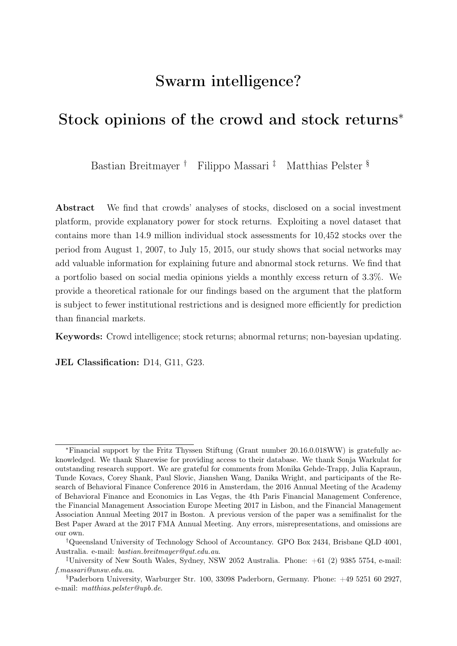predicted return. Average realized returns are .052.

#### - Place Table [2](#page-39-0) about here -

Table [3](#page-40-0) reports the pairwise correlations between selected variables included in our analysis. Notably, we observe a high correlation between the number of buy and sell recommendations. One possible explanation for this finding is that some stocks receive more attention than others. Moreover, the opinions of Sharewise users do not reflect a clear-cut consensus for these stocks, which yields high correlation between the number of buy and sell recommendations. Most other correlations are low.

# <span id="page-15-0"></span>3 Stock returns and crowd assessments

This section presents and discusses the main empirical findings of our study. First, we study the price performance of Potential stocks. Then, we investigate whether quantified crowd assessments transmitted through a social investment platform help to predict future stock returns. Moreover, we conduct several subsequent analyses. First, we distinguish various crowd characteristics that may affect the explanatory power of the stock assessments. Second, we examine stocks that exhibit different return and investor attention characteristics.

# 3.1 Implications of *Sharewise* crowd opinions for stock prices

First, we present an analysis of the time series of returns of stocks with large Potential indicated by the *Sharewise* crowd minus stocks with low *Potential* for evidence of any excess returns, after adjusting for established predictors of stock returns. For the analysis, we aggregate the daily data containing new stock opinions on a monthly basis by using the average. Each regression is estimated with the monthly aggregated data over the 96-month sample period from August 2007 to July 2015.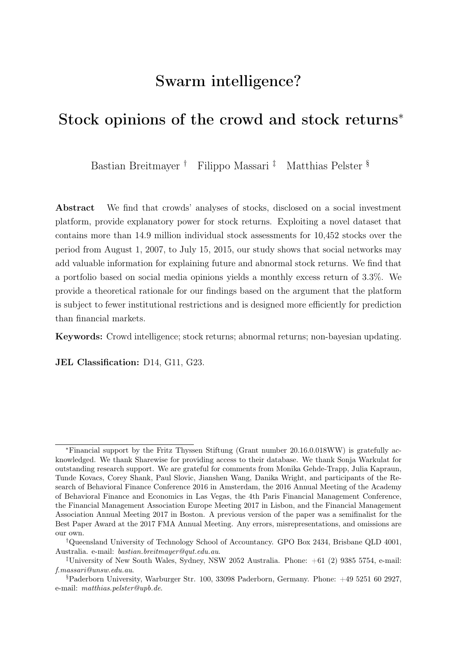First, we estimate the CAPM,

$$
DIFFOT_t = \alpha + \beta(Mkt - RF) + \varepsilon_t,
$$

for  $t = 1, ..., 96$ , where DIFPOT is the return of a portfolio that is long stocks with the largest potential (upper third) and short stocks with the lowest potential (lower third) as indicated by the *Sharewise* crowd and  $Mkt - RF$  is the excess return of the market portfolio (see [Hong and Kacperczyk, 2009,](#page-32-13) for a similar approach). Portfolios are adjusted monthly. We are especially interested in the  $\alpha$  of the regression that represents the excess return of the portfolio created based on the recommendations of the Sharewise crowd. Table [4](#page-41-0) (Model (1)) presents the results of our regression analysis. The positive alpha indicates an excess return of 3.3%. The large magnitude of the excess return may be explained by the nature of the platform. Naturally, individuals are more likely to provide a forecast for a stock, if they expect large absolute returns, and not, if they expect returns of only small magnitudes. As a result, if forecasts are approximately correct, on average, realized returns on the strategy based on these forecasts, will be large as well.

In addition to the CAPM, we consider other established asset pricing models, such as the [Fama and French](#page-31-2) [\(2015\)](#page-31-2) five-factor asset pricing model, the Carhart four-factor model, a Fama-French five-factor model expanded by the momentum factor proposed by [Carhart](#page-30-7) [\(1997\)](#page-30-7), Fama-French five-factor models expanded by factors to control for short-term or long-term reversal, and Fama-French five-factor models expanded by investor sentiment factors proposed by [Baker and Wurgler](#page-30-3) [\(2006\)](#page-30-3). The additional results presented in Table [4](#page-41-0) support the estimated excess return of approximately 3.3% of a portfolio based on Sharewise recommendations.

- Place Table [4](#page-41-0) about here -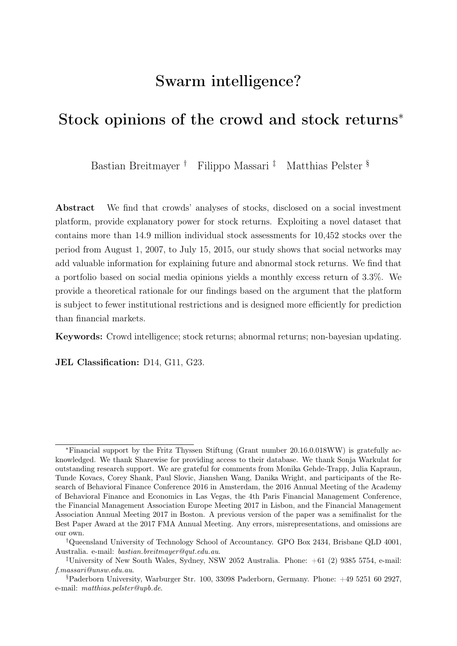## <span id="page-17-0"></span>3.2 **Sharewise** crowd opinions and buy-and-hold returns

Crowd consensus reflects the expectations of future stock price developments. As the longest time period considered on Sharewise is six months, target prices should materialize within this horizon. To analyze the relationship between crowd opinions and stock returns, we calculate six-month buy-and-hold returns for each investment opinion and lag the crowd opinion (Potential) transmitted through the Sharewise platform by six months. Table [5](#page-42-0) (Panel A) reports the results of our fixed-effects panel data regressions on sixmonth buy-and-hold returns using quarterly data. Our final quarterly dataset contains 73,015 stock-quarter observations. We rely on quarterly data for the panel regressions as balance sheet information is not available at a monthly frequency. We conduct several sets of panel data regressions to model the determinants of stock performance and shed light on the relationship between crowd opinions and stock returns. We apply a panel regression approach with stock and time fixed effects using robust standard errors clustered at the individual stock level to mitigate possible issues resulting from heteroskedasticity and serial correlation. We exploit the within-variation of crowd opinions to account for the fact that a sell recommendation of a given stock in 2007 may turn into a buy recommendation until 2015 or vice versa.

#### - Place Table [5](#page-42-0) about here -

In our first two regression models, using the full sample with and without control variables, we observe a positive coefficient for Potential. The coefficient is significant at the 0.1% level. We perform subsample tests to examine the explanatory power of crowds with different characteristics. To investigate the role of the crowd consensus regarding investment choices, we distinguish two subsamples. The low-consensus subsample includes recommendations for which at least 25% of user opinions recommend a different investment strategy (sell or buy) than the majority. The high-consensus subsample consists of all stock opinions for which all user recommend the same strategy (sell or buy). The results of our regression analysis reveal a slightly larger coefficient and t-statistic on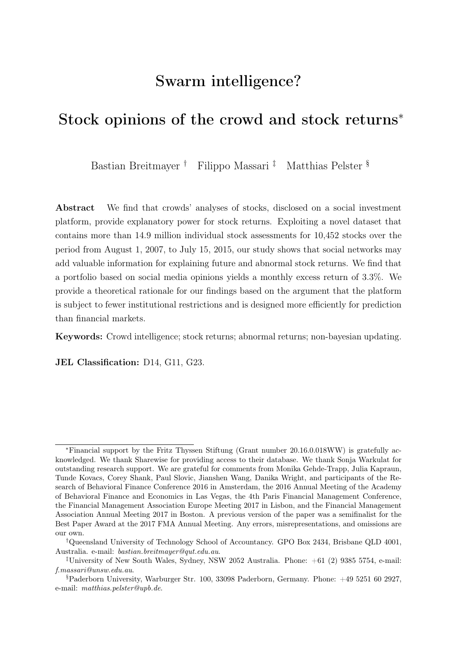Potential for high-consensus than for low-consensus stocks. However, that the coefficient is also significantly positive for low-consensus stocks indicates that the consensus forecast is rather reliable. According to a  $t$ -test, the two Potential coefficients are statistically different from each other at the 0.1% level. The explanatory power of the forecasts is not driven by the "simple" cases, where everybody agrees that a stock has a high Potential and will easily increase in value over time.

In Model (5), we restrict our sample to stocks with high volatility in stock opinions (top quartile). Stocks with high volatility in stock opinions may decrease the explanatory power of crowds' stock assessments and prevent their successful utilization in investment decisions. However, while the regression results indicate that indeed the coefficient is significantly smaller than in the full sample (according to a  $t$ -test), it is nonetheless still significantly different from zero. Thus, large target price adjustments over time do not seem to affect the relationship between crowd assessments and stock returns.

Finally, we restrict our attention to those stocks with strong sell advice from the crowd. As the majority of recommendations indicate positive Potential, the explanatory power may differ when the crowd expects decreasing prices. In Model (6), we consider those stocks that exhibit the 25% highest expected price decrease. Again, our regression results do not change dramatically.

Next, we consider several subsamples constructed with respect to stock characteristics. In Panel B of Table [5,](#page-42-0) we begin our analysis with stocks that exhibit high return volatility (top quartile). We argue that those stocks are more difficult to value. Conversely, lowvolatility stocks are easier to value, and the valuation may contain fewer subjective errors. Yet, we observe that the relationship between Potential and stock returns holds for both subsamples; albeit with statistically different coefficients, according to a t-test. Second, we only consider stocks in the bottom return quartile, that is, stocks with poor past performance. Third, we only consider stocks that receive a relatively low level of investor attention. With low investor attention, users may be less well-informed. Consequently, their stock assessments may lack in value. We consider times where a given stock receives little and high investor attention, measured in terms of Google search volume (Model (4)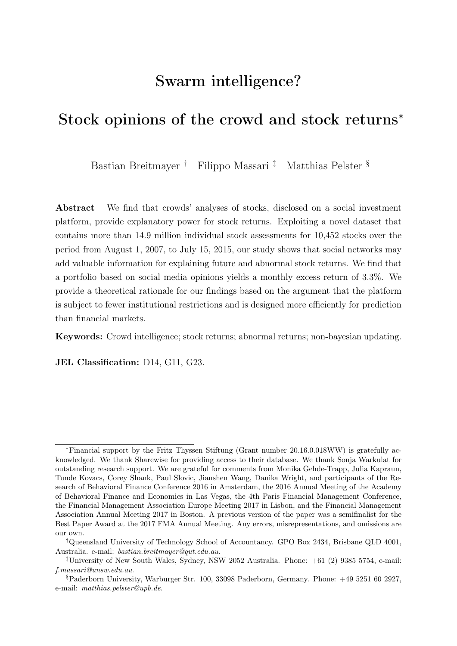and Model (5)). In line with our argument, we observe a significantly larger coefficient on Potential for high attention stocks compared to low attention stocks (*p*-value of *t*-test  $\lt$ 0.01). Next, we consider stocks that receive little and high attention compared to other stocks, based on the number of Sharewise predictions (Model (6) and Model (7)). Again, we observe a larger coefficient on Potential in the high attention group. A  $t$ -test indicates that coefficients are different at the 0.1% level. Yet, we can state that in all subsamples considered, we confirm our main results.

Finally, it is possible that the arrival of firm-level news is driving both the investors' predictions and future returns. For example, the most important news event for many firms is the quarterly earnings announcement which leads to a post earnings announcement drift in many countries [\(Hung et al., 2015\)](#page-32-14). In Model (8) we control for earnings surprises. The analysis supports our findings. To control for other news events, we rely on Quandl Alpha One Sentiment Data (News sentiment). Model (9) provides evidence that the consensus is not simply correlated with firm-level news that has predictive power.

Furthermore, in unreported robustness checks, we add the distance from the stock's 52 week high and 52-week low as additional control variables. The results for our variable of interest (Potential) remain nearly unchanged: The coefficient on Potential is .096, while the coefficients on the difference to 52-week low is positive and the coefficient on the difference to 52-week high is negative. All coefficients are statistically different from zero.

## <span id="page-19-0"></span>3.3 **Sharewise** crowd opinions and abnormal returns

In the previous section, we provided some evidence that the stock opinions transmitted through the social media platform Sharewise are positively related to stock returns. However, the stock opinions could simply reflect expected returns and thus not provide any additional insights. To test whether this is the case, we study the relationship between stock opinions (Potential) and abnormal returns. Again, we apply a panel regression approach with stock and time fixed effects using robust standard errors clustered at the individual stock level.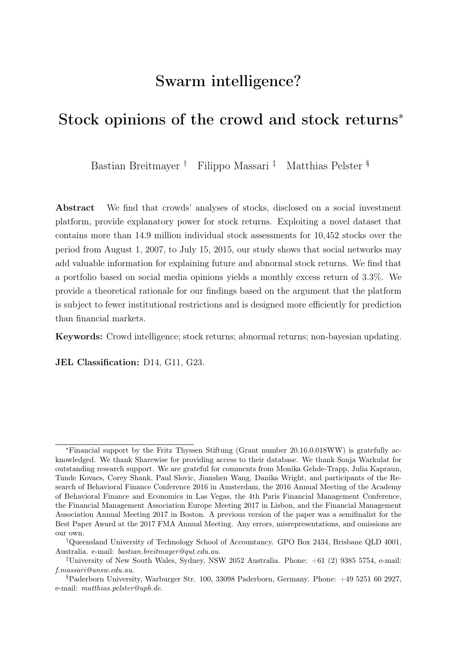Table [6](#page-44-0) reports results of our fixed-effects panel regressions on abnormal returns. Our first models (Panel A) (without and with control variables) show a positive relationship between stock opinions (Potential) and abnormal returns. The coefficient is statistically significantly different from zero at the 0.1% level. Similar to Section [3.2,](#page-17-0) we conduct several subsample tests to examine the explanatory power of Potential under different circumstances. Again, we separate stocks with low and high crowd consensus (Models (3) and (4); coefficients on Potential are different at the 0.1% level). Next, we only include stocks with high changes in the stock opinions of the crowd (top quartile, Model (5)), and only consider stocks with high sell Potential (top quartile) according to the crowd (Model (6)). For all subsamples, the message of our results remains the same.

#### - Place Table [6](#page-44-0) about here -

In Panel (B) of Table [6,](#page-44-0) subsamples are constructed with respect to different stock characteristics. First, we restrict our sample to stocks with high and low volatility (top quartile, Model (1) and bottom quartile, Model (2); coefficients are different from each other at 0.1% level). Both coefficients are significantly positive. Next, we build subsamples for stocks with poor past performance (bottom quartile of performance, Model (3)), and for stocks with the lowest and highest investor attention, measured in terms of Google search volume (bottom quartile, Model (4) and top quartile, Model (5); coefficients are different at 0.1% level). In addition, we build subsamples on the number of Sharewise predictions (bottom quartile, Model (6) and top quartile, Model (7); *p*-value of *t*-test  $< 0.001$ ). Even though the coefficients on the subsamples differ somewhat in size, we obtain statistically significant positive coefficients on Potential in all cases. Thus, the observed relationship between crowd stock assessments and abnormal stock returns is robust to different stock return characteristics and levels of investor attention.

In the same manner as described in Section [3.2](#page-17-0) we control for the impact of firm-level news. We control for earnings surprises in Model (8) and for general firm-level news events employing Quandl Alpha One Sentiment Data in Model (9) and confirm the results of our main analysis.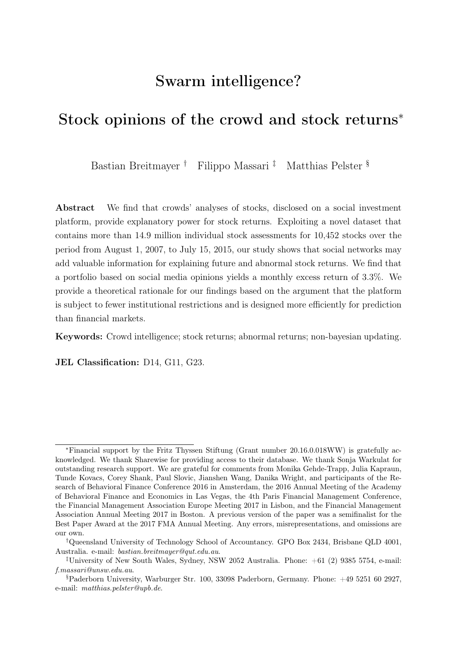## 3.4 Robustness checks

We perform a series of additional robustness. First, we split our sample to examine the explanatory power of target prices across countries. We separately examine the explanatory power for the countries with the most stocks in our sample. Specifically, we separately estimate Model (2) of Table [6](#page-44-0) (Panel A) and restrict the sample to stocks from a given country. While we observe a positive significant relationship between Sharewise target prices and abnormal returns for the United States, Canada, Germany, France, and Austrialia, the results are not robust for the United Kingdom, where we observe a coefficient that is statistically not different from zero (untabulated results).

Second, we perform a series of additional robustness checks by estimating expected returns based on a set of different market models. We perform these robustness checks to control for the possibility that the predictive power of Sharewise target prices just captures welldocumented patterns in stock prices such as momentum or investor sentiment.

For example, it may be possible that Sharewise users form target prices by extrapolating from past returns. This would lead to the predictive power of target price implied expected returns, if past returns positively predict future returns in mid-term horizon. Consequently, in this case crowd forecasts would just capture momentum. We can rule this possibility out by estimating expected returns based on the four-factor model proposed by [Carhart](#page-30-7) [\(1997\)](#page-30-7) or a Fama-French five-factor model expanded by the momentum factor and then repeating the analysis described in Section [3.3.](#page-19-0) We do not tabulate results to preserve space. However, our estimates remain virtually unchanged.

Another alternative explanation could be that target prices only contain noise and are negatively correlated with past prices. Given short term reversal in stock returns, past prices negatively predict future returns, which in turn explains the positive relation between crowd forecasts and future returns. Thus, crowd forecasts would not contain additional information beyond short term reversal of past returns. We control for this possibility by estimating expected returns based on a Fama-French five-factor model expanded with a short-term reversal factor. Our analyses provide evidence for the explanatory power also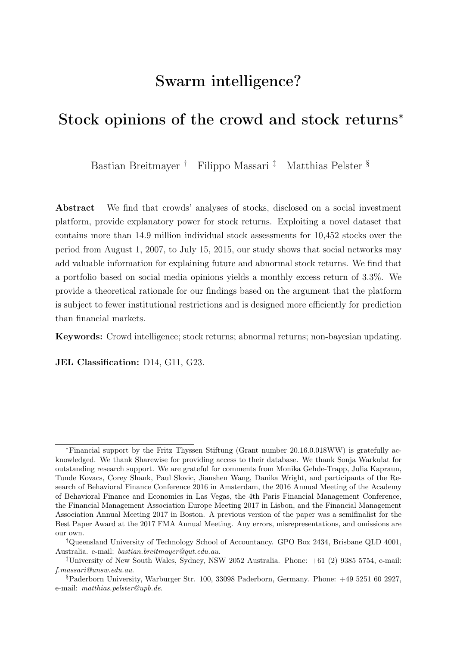in this case.

Finally, Sharewise crowd forecasts may capture no additional information beyond investor sentiment. We also check for this possible explanation by estimating expected returns based on a Fama-French five-factor model, expanded with the [Baker and Wurgler](#page-30-3) [\(2006\)](#page-30-3) investor sentiment factor. Our results hold in this case as well.

In addition to different specifications to estimate expected returns, we also perform several subsample analysis in order to verify the robustness of our results. First, we split our sample into two periods of equal length. We can confirm our results for both sub-periods. Similarly, we repeat our analysis focusing on time periods of high market volatility and low market volatility. Our results hold in both settings.

# <span id="page-22-0"></span>4 Theoretical justification for crowd consensus accuracy

In this section, we explain how *Sharewise's* collective predictions become accurate. Our arguments are inspired by the vast literature on efficient markets [\(Malkiel and Fama,](#page-32-15) [1970\)](#page-32-15) which identifies three mechanisms concurring to market efficiency.

First, financial markets can be efficient because they aggregate private information. Modeling the heterogeneity of opinions as only driven by heterogeneity in traders' private information and assuming common knowledge, markets are informationally efficient because each trader learns the private information of the other traders from prices. Even if traders have access to exclusive, private information and have different opinions before trading, in equilibrium they must hold the same, most informed opinion because all private information is revealed [\(Aumann, 1976;](#page-30-8) [Grossman, 1976;](#page-31-13) [Radner, 1979;](#page-33-12) [Geanakoplos](#page-31-14) [and Polemarchakis, 1982\)](#page-31-14).

Second, equilibrium prices become accurate because of natural selection. According to the market selection hypothesis, traders with inaccurate beliefs progressively lose wealth to traders whose beliefs are accurate [\(Alchian, 1950;](#page-30-9) [Friedman, 1953\)](#page-31-15). Therefore, markets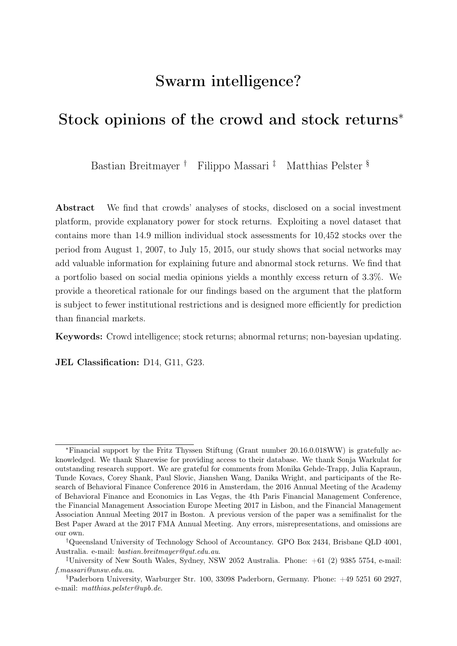become efficient because equilibrium prices eventually reflect the probabilistic views only of the accurate traders that survive [\(Sandroni, 2000\)](#page-33-13).

Third, the *wisdom of the crowd* argument, according to which an average of users opinions can deliver more accurate predictions than that of every single user because errors cancel out [\(Galton, 1907\)](#page-31-0).

Here we argue that the same mechanisms contribute to Sharewise's crowd consensus' accuracy. Moreover, the Sharewise crowd consensus can have predictive power over market prices because the platform is constructed to make use of these mechanisms more efficiently than financial markets. Unlike the market, Sharewise's platform facilitates a transparent exchange of information, it uses an aggregator algorithm which is optimized for prediction rather than the redistribution of wealth and it provides an environment in which users' prediction errors are likely to cancel out.

## 4.1 Information aggregation

A standard argument for market efficiency is that users can infer private information from prices. By participating in financial markets each user loses his information advantage and gains the collective wisdom of all market participants. As a result, equilibrium prices are efficient because they reflect all private information.

While the conditions under which prices perfectly reveal private information are demanding and unlikely to hold in financial markets, the Sharewise platform is designed to work as a transparent information aggregator (see Section [2](#page-7-0) for details). Rather than tackle the arduous task of reconstructing private information from market prices, Sharewise's users have direct access to each other opinions. As the platform host, Sharewise not only provides easy access to publicly available information but also gives a transparent overview of all user opinions and aggregates the user recommendations into a price target.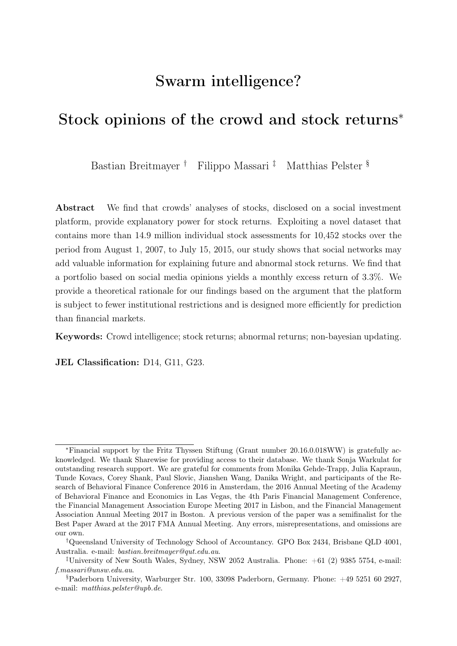## 4.2 Market selection

According to the market selection hypothesis, users with inaccurate beliefs progressively lose their wealth to users whose beliefs are more accurate. Eventually, asset prices become accurate because they exclusively represent the probabilistic view of those traders that survive the selection process. One of the limitations of the selection argument is that it requires a closed system: if new traders keep entering the market (noise traders), or traders leave the market after a certain amount of time, there is no guarantee that equilibrium prices will ever become efficient.

Sharewise's crowd consensus is a rank-weighted average of user recommendations, where users' rankings depend on the accuracy of their past predictions and the length of their prediction history. Because a user's ranking depends on past accuracy, Sharewise's aggregation algorithm selects for accurate traders in a way that is qualitatively similar to market selection.<sup>[9](#page-24-0)</sup> Moreover, giving more weight to those users with a longer prediction history is a way to mitigate the problem of noise traders, thus increasing the accuracy and reliability of crowd consensus.

Although we were not given the details of Sharewise's algorithm, we can describe its qualitative feature and rationale. The main difficulty is to construct the ranking system in such a way to be optimal with respect to prediction accuracy. To gain intuition, we start our discussion in a completely controlled setting where known results from robust learning can be directly applied [\(Cesa-Bianchi and Lugosi, 2006;](#page-31-16) [Cover and Thomas,](#page-31-17) [2012\)](#page-31-17). Next, we discuss modifications tailored to address Sharewise's prediction task. We do not claim that *Sharewise*'s algorithm coincides with the one we describe. Our discussion is simply meant to illustrate the qualitative features of Sharewise's algorithm to support our empirical findings.

Models in the market selections literature have shown that equations governing equilibrium prices are qualitatively similar to the algorithm described below [\(Blume and Easley,](#page-30-10) [2009;](#page-30-10) [Massari, 2016\)](#page-33-14). However, unlike Sharewise's algorithm, the "market algorithm" is

<span id="page-24-0"></span><sup>9</sup>See section [2.1](#page-8-1) for details on the aggregation algorithm; also, the interested reader is referred to the Sharewise website (<https://www.sharewise.com/us/help/about>) for additional information.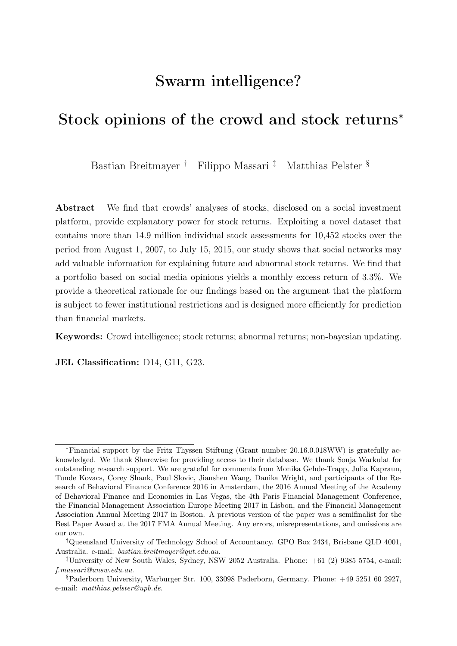not calibrated for good predictions. In financial markets, wealth-shares evolution and the weight of individual opinions on equilibrium prices are vastly affected by individual preferences in a way that does not need|to be optimal for price accuracy. On the contrary, Sharewise's algorithm disregards user preferences and combines their opinions with the sole goal of prediction accuracy.

Specifically, the Sharewise algorithm can improve over the "market algorithm" in two dimensions. First, while each user in the market invests to maximize his specific utility function, the Sharewise algorithm uses a unique accuracy criterion to assign weights. This makes user predictions comparable, eliminating those biases due to heterogeneity in user preferences. Second, unlike the market, Sharewise's algorithm has the flexibility to optimally choose its learning rate and discounting parameters.

#### 4.2.1 The platonic world

To a first-order approximation, Sharewise's prediction problem can be made consistent to the setting of expert predictions by [Cesa-Bianchi and Lugosi](#page-31-16) [\(2006\)](#page-31-16). There is a finite number of users ("experts") which make a series of price recommendations. Given a predetermined criterion for accuracy (e.g. sum of squared error, or Sharpe ratio), Sharewise's goal is to design a rule which dynamically combines user recommendations into a consensus with good out-of-sample accuracy performance.

We focus on those algorithms that possess the minimum regret property [\(Hannan, 1957;](#page-32-2) [Foster and Vohra, 1999\)](#page-31-3). That is, with the property that as the number of recommendations increases, the average collective recommendation is as accurate as the average prediction of the most accurate user with hindsight (e.g. [Blackwell et al., 1956;](#page-30-11) [Vovk, 1990;](#page-34-3) [Cover and Thomas, 2012\)](#page-31-17). Focusing on regret, rather than accuracy, allows to derive results that are independent of the data generating process that governs prices and user predictions. Minimum regret is closely related to prediction accuracy and consistency. Under standard assumptions about users' loss functions and about the processes governing prices and user predictions, algorithms with minimal regret are consistent [\(Grünwald,](#page-32-16) [2007\)](#page-32-16).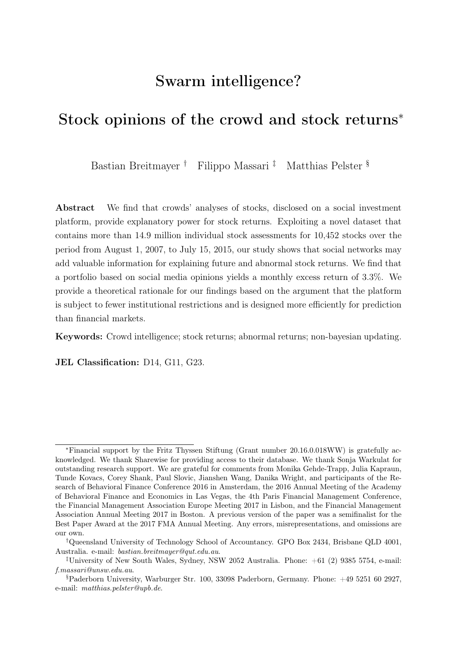Let us start by rephrasing a known result: if the platform has (a) a finite number of users,  $\mathcal{I}$ , (b) which make recommendations at the same time for the same assets, (c) the ranking function is monotone in past accuracy, and (d) the crowd consensus is an (exponentially) rank-weighted average of user recommendations, then, the crowd consensus has the minimum regret property.

Formally, let  ${q_{\tau}^s}_{\tau=1}^{t-1}, {q_{\tau}^i}_{\tau=1}^{t-1}, {Q_{\tau}}_{\tau=1}^{t-1}$  be the collective price target, user *i* recommendation, and the sequence of prices, respectively. Let  $d_t^i(q_t^i, Q_t) := d_t^i$  be a convex, monotone measure of user accuracy, and let the collective price target be an exponentially rank-weighted average of user recommendations:  $q_t^s = \sum$ i∈I  $w_t^i({d_\tau^i}_{\tau=1}^{t-1})q_t^i$ , with

$$
w_t^i(\{d_\tau^i\}_{\tau=1}^{t-1}) = \frac{\int_{\tau=1}^{\tau \sum\limits_{\tau=1}^t d_\tau^i}{\int_{\tau \in \mathcal{I}}^t \tau^i} \text{ where } \eta \in (0, \infty) \text{ is a free parameter that regulates the con-}
$$

vergence rate of the community predictions to the predictions of the most accurate user in the past. Then, the following theorem holds.

<span id="page-26-0"></span>**Theorem 1.** Under a-d and  $\forall \eta \in (0, \infty)$ , the (exponentially) rank-weighted average recommendation is eventually at least as accurate as the average recommendation of the most accurate user.

$$
q_t^s = \sum_{i \in \mathcal{I}} w_t^i \left( \left\{ d_\tau^i \right\}_{\tau=1}^{t-1} \right) q_t^i \quad \Rightarrow \quad \forall i, \lim_{t \to \infty} \frac{1}{t} \sum_{\tau=1}^t d_\tau^i - d_\tau^s \ge 0.
$$

Proof. Known result, e.g. [Vovk](#page-34-3) [\(1990\)](#page-34-3) or [Cesa-Bianchi and Lugosi](#page-31-16) [\(2006\)](#page-31-16).

Note that, no assumptions are made on the price process or on users' probabilistic models. Sharewise's crowd consensus predictions are, on average, at least as accurate as the predictions of the most accurate user. The result holds for every sequence of prices and are irrespective of the probabilistic models employed by users to make predictions. If we

 $\Box$ 

further assume that the true probability governing prices and the subjective probabilities governing user recommendations follows some ergodic process, then Theorem [1](#page-26-0) ensures that the crowd consensus converges in average to the prediction of the most accurate user.

Corollary 2. Under the assumptions of Theorem [1,](#page-26-0) if we further assume that user predic-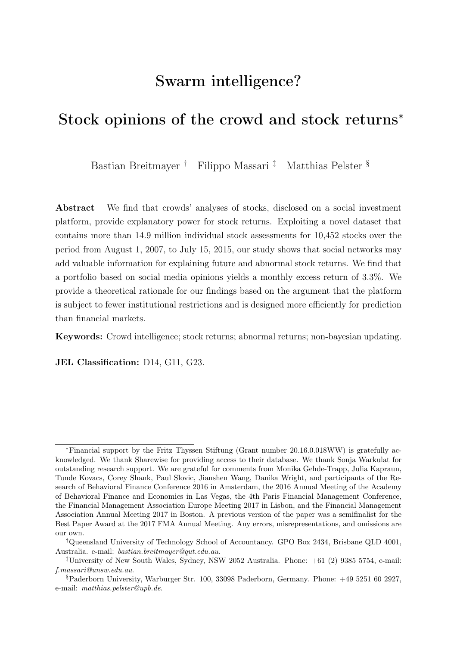tions and equilibrium prices are ergodic, then next-period recommendations are eventually as accurate as the recommendation of the most accurate user.

Proof. Under the stated assumptions, bounded regret implies consistency [\(Cesa-Bianchi](#page-31-16) [and Lugosi, 2006\)](#page-31-16).  $\Box$ 

#### 4.2.2 A step in the real world

In the previous section, we have shown that in an artificial setting, the use of a rankingweighted-average prediction guarantees good average predictions. The real world, however, is a much more interesting environment: users do not make infinitely many predictions, they do not make the same number of predictions, they do not make predictions at the same time, and the number of users making predictions is not constant. Of our initial assumptions, only (c) and (d) hold in practice. Accordingly, our platonic result is altered as follows. (i) The rank-weighted prediction never identifies a unique most accurate user and (ii) the length of the prediction history should be taken into consideration.

These limitations can be mitigated by choosing an appropriate value for the  $\eta$  parameter. By recursively searching for the optimal value of the  $\eta$  parameter, it is possible to determine the best weight to give to users as a function of their past performance. This approach is known to deliver predictions with the minimum regret property and a superefficiency property (Safe Bayesian, by [Grünwald and van Ommen](#page-32-17) [\(2017\)](#page-32-17) and [Massari](#page-33-15) [\(2017\)](#page-33-15); [Dindo and Massari](#page-31-18) [\(2019\)](#page-31-18)). It delivers predictions that are  $\sin \theta$  — at least as accurate as the most accurate user — and super-efficient — its predictions can be even more accurate than the most accurate user.

Specifically, if the environment is stable enough, Sharewise's algorithm can be calibrated to ensure an optimal tradeoff between the diversity of opinions brought in by users with short prediction histories and the proven reliability of those users with longer prediction histories. Intuitively, it is reasonable to give more weight to the prediction of a user that has a record of 900 correct predictions over a total of 1000, rather than to one with a record of 10 correct predictions out of 10. The former is less accurate but more reliable.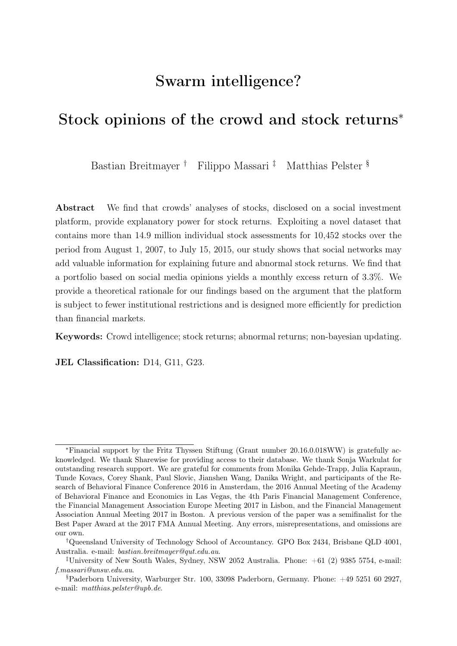As a concluding remark, we want to highlight that the parameters the algorithm optimally choses are not statistical parameters calibrated to match some regularities (e.g. moments) of the data. They are the parameters governing the rate at which the algorithm converges to the most accurate model. As such, this optimization improves Sharewise's community forecast accuracy, rather than making the estimates fragile to out-of-sample performance.

## 4.3 Wisdom of the crowd

In the previous section, we argued that Sharewise's crowd consensus is a non-degenerate rank-weighted average of users' opinion. The ranking helps the wisdom of the crowd argument by giving less weight to the prediction of users that are less reliable because they have bad past record or not enough predictions. However, it does not prevent those opinions to be systematically biased. For example, if all users were optimistic, their collective opinion is also optimistic. Further, the prediction of users with low rank can still have a large impact on collective predictions, if their recommendations are very different from the average.

Under regularity conditions, these problems could be addressed adjusting the aggregator algorithm. However, this correction would comport a substantial manipulation of users' opinions which is against the spirit of the platform.

Empirically, we find that there is no need to modify the aggregator algorithm. User recommendations do not display systematic biases or excessive variance. A natural conjecture for this lucky accident is that user recommendations are affected (anchored) by the current level of stock prices and past trends. Anchoring, which from the individual perspective is a "bias", improves crowd consensus' accuracy because it helps reducing the volatility in the predictions — thus working as a "shrinkage estimator" [\(Stein et al., 1956\)](#page-33-16).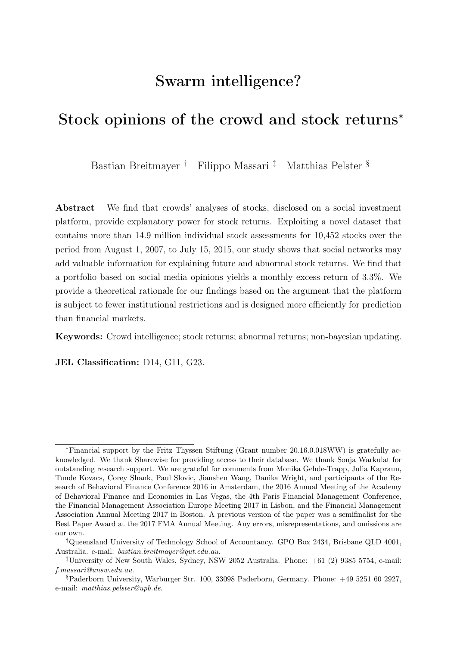# 5 Conclusion

In this paper, we investigate the relationship between stock-specific crowd opinions transmitted through social media and stock performance. To understand the relevance of information shared on social media for stock returns is of importance for investors, regulators, and providers of financial services, for example, because investors may execute trades according to these recommendations. We analyze stock-specific crowd opinions utilizing an innovative, unique dataset that contains more than 14.9 million individual stock assessments for 10,452 stocks for the period from August 1, 2007, to July 15, 2015. Exploiting this dataset, we find a positive relationship between crowd stock opinions and stock returns. In particular, we observe an excess return of 3.4% for a portfolio based on Sharewise recommendations. Thus, our study provides evidence that the cumulative knowledge of the crowd includes some valuable information that increases the explanatory power of stock return models. We offer a theoretical foundation for our evidence based on the literature on efficient markets. We argue that financial markets are subject to institutional restrictions which do not exist on the platform. Therefore, by employing an aggregator algorithm that is optimized for prediction rather than the redistribution of wealth, the Sharewise crowd can contribute to explaining stock returns.

The aggregator algorithm also mitigates the impact of the positivity bias previously documented in the literature [\(Muchnik et al., 2013;](#page-33-10) [Tang et al., 2017\)](#page-33-11) and evident in the number of observations provided on Sharewise. While [Tang et al.](#page-33-11) [\(2017\)](#page-33-11) document that the misinformation due to the bias leads to underperformance, the weighted community recommendations in our study can contribute to explaining abnormal returns.

We provide evidence for the explanatory power of crowd opinions for future stock returns and abnormal returns in different scenarios. Even if the social investment platform users do not reach consensus, the aggregated stock opinions provide valuable information. The relationship is also robust to large changes in stock opinions over time, stocks that are difficult to value, and stocks that only receive a low level of investor attention. Similarly, our results suggest that the predictive power is not driven by momentum, short-term rever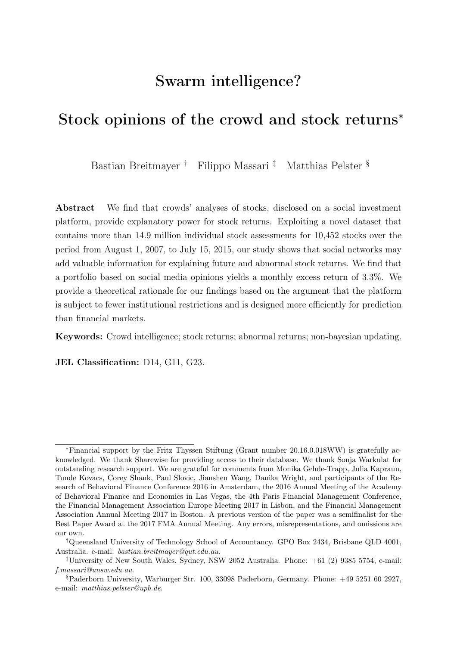sal, or investor sentiment. Our results also hold across different countries and economies with different levels of strength. Thus, our study provides evidence supportive of the concept of crowd intelligence introduced by [Galton](#page-31-0) [\(1907\)](#page-31-0) (see also [Surowiecki, 2004\)](#page-33-1) in the context of investment decisions on stock markets.

Our paper contributes to the growing literature on social media investment platforms. The influence of social media on investment decisions has increased significantly and is expected to increase further in the future. Our paper shows that this growing attention is reasonable, as the information offered on these platforms contributes to explaining future abnormal stock returns.

# References

- <span id="page-30-5"></span>Adebambo, B.N., Bliss, B., Kumar, A., 2016. Geography, diversity, and accuracy of crowdsourced earnings forecasts. Working Paper .
- <span id="page-30-9"></span>Alchian, A.A., 1950. Uncertainty, evolution, and economic theory. The Journal of Political Economy 58, 211–221.
- <span id="page-30-8"></span>Aumann, R.J., 1976. Agreeing to disagree. The annals of statistics 4, 1236–1239.
- <span id="page-30-6"></span>Avery, C.N., Chevalier, J.A., Zeckhauser, R.J., 2016. The "caps" prediction system and stock market returns. Review of Finance 20, 1363–1381.
- <span id="page-30-3"></span>Baker, M., Wurgler, J., 2006. Investor sentiment and the cross-section of stock returns. The Journal of Finance 61, 1645–1680.
- <span id="page-30-0"></span>Barber, B.M., Odean, T., 2000. Trading is hazardous to your wealth: The common stock investment performance of individual investors. The Journal of Finance 55, 773–806.
- <span id="page-30-4"></span>Barber, B.M., Odean, T., Zhu, N., 2009. Do retail trades move markets? The Review of Financial Studies 22, 151–186.
- <span id="page-30-11"></span>Blackwell, D., et al., 1956. An analog of the minimax theorem for vector payoffs. Pacific Journal of Mathematics 6, 1–8.
- <span id="page-30-10"></span>Blume, L., Easley, D., 2009. The market organism: long-run survival in markets with heterogeneous traders. Journal of Economic Dynamics and Control 33, 1023–1035.
- <span id="page-30-1"></span>Bollen, N.P.B., Busse, J.A., 2004. Short-term persistence in mutual fund performance. The Review of Financial Studies 18, 569–597.
- <span id="page-30-2"></span>Busse, J.A., Goyal, A., Wahal, S., 2010. Performance and persistence in institutional investment management. The Journal of Finance 65, 765–790.
- <span id="page-30-7"></span>Carhart, M.M., 1997. On persistence in mutual fund performance. The Journal of Finance 52, 57–82.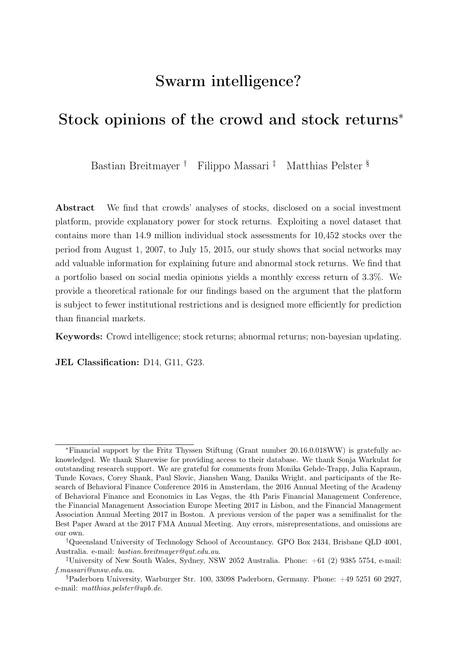- <span id="page-31-16"></span>Cesa-Bianchi, N., Lugosi, G., 2006. Prediction, learning, and games. Cambridge university press.
- <span id="page-31-7"></span>Chen, H., De, P., Hu, Y.J., Hwang, B., 2014. Wisdom of crowds: The value of stock opinions transmitted through social media. The Review of Financial Studies 27, 1367– 1403.
- <span id="page-31-17"></span>Cover, T.M., Thomas, J.A., 2012. Elements of information theory. John Wiley & Sons.
- <span id="page-31-8"></span>Crawford, S., Gray, W., Johnson, B.R., Price III, R.A., 2017. What motivates buy-side analysts to share recommendations online? Management Science 64, 2473–2972.
- <span id="page-31-5"></span>Da, Z., Engelberg, J.E., Gao, P., 2011. In search of attention. The Journal of Finance 66, 1461–1499.
- <span id="page-31-1"></span>Da, Z., Huang, X., 2018. Harnessing the wisdom of crowds. Working Paper .
- <span id="page-31-11"></span>Da, Z., Liu, Q., Schaumburg, E., 2014. A closer look at the short-term return reversal. Management Science 60, 658–674.
- <span id="page-31-4"></span>De Long, J., Shleifer, A., Summers, L., Waldmann, R., 1990. Noise trader risk in financial markets. Journal of Political Economy 98, 703–738.
- <span id="page-31-18"></span>Dindo, P., Massari, F., 2019. The wisdom of the crowd in dynamic economies. University Ca'Foscari of Venice, Dept. of Economics Research Paper Series No 17.
- <span id="page-31-10"></span>Doering, P., Neumann, S., Paul, S., 2015. A primer on social trading networks: Institutional aspects and empirical evidence. Working Paper.
- <span id="page-31-9"></span>Dougal, C., Engelberg, J., Garcia, D., Parsons, C.A., 2012. Journalists and the stock market. The Review of Financial Studies 25, 639–679.
- <span id="page-31-6"></span>Engelberg, J.E., Parsons, C.A., 2011. The causal impact of media in financial markets. The Journal of Finance 66, 67–97.
- <span id="page-31-12"></span>Fama, E.F., 1965. The behavior of stock market prices. The Journal of Business 38, 34–105.
- <span id="page-31-2"></span>Fama, E.F., French, K.R., 2015. A five-factor asset pricing model. Journal of Financial Economics 116, 1–22.
- <span id="page-31-3"></span>Foster, D.P., Vohra, R., 1999. Regret in the on-line decision problem. Games and Economic Behavior 29, 7–35.
- <span id="page-31-15"></span>Friedman, M., 1953. Essays in positive economics. volume 231. University of Chicago Press.
- <span id="page-31-0"></span>Galton, F., 1907. Vox populi. Nature 75, 450–451.
- <span id="page-31-14"></span>Geanakoplos, J.D., Polemarchakis, H.M., 1982. We can't disagree forever. Journal of Economic Theory 28, 192–200.
- <span id="page-31-13"></span>Grossman, S., 1976. On the efficiency of competitive stock markets where trades have diverse information. The Journal of Finance 31, 573–585.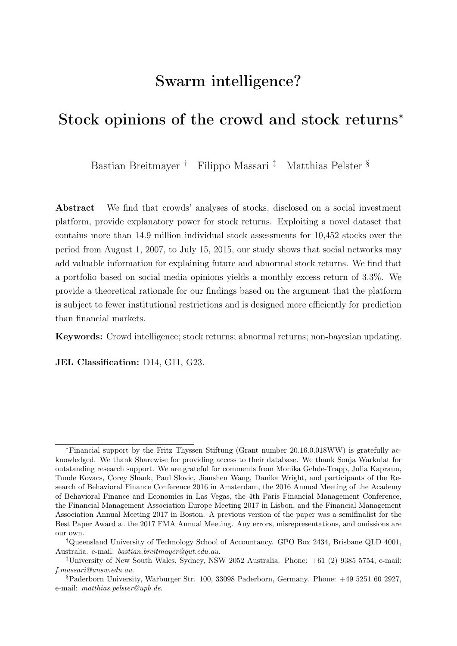- <span id="page-32-17"></span>Grünwald, P., van Ommen, T., 2017. Inconsistency of bayesian inference for misspecified linear models, and a proposal for repairing it. Bayesian Analysis 12, 1069–1103.
- <span id="page-32-16"></span>Grünwald, P.D., 2007. The minimum description length principle. MIT press.
- <span id="page-32-2"></span>Hannan, J., 1957. Approximation to bayes risk in repeated play. Contributions to the Theory of Games 3, 97–139.
- <span id="page-32-1"></span>Hommes, C., Sonnemans, J., Tuinstra, J., van de Velden, H., 2005. Coordination of expectations in asset pricing experiments. The Review of Financial Studies 18, 955– 980.
- <span id="page-32-13"></span>Hong, H., Kacperczyk, M., 2009. The price of sin: The effects of social norms on markets. Journal of Financial Economics 93, 15–36.
- <span id="page-32-14"></span>Hung, M., Li, X., Wang, S., 2015. Post-earnings-announcement drift in global markets: Evidence from an information shock. The Review of Financial Studies 28, 1242–1283.
- <span id="page-32-11"></span>Ince, O., Porter, R., 2006. Individual equity return data from Thomson Datastream: Handle with care! The Journal of Financial Research 29, 463–479.
- <span id="page-32-6"></span>Jame, R., Johnston, R., Markov, S., Wolfe, M.C., 2016. The value of crowdsourced earnings forecasts. Journal of Accounting Research 54, 1077–1110.
- <span id="page-32-7"></span>Jame, R., Markov, S., Wolfe, M.C., 2017. Does crowdsourced research discipline sell-side analysts? SMU Cox School of Business Research Paper 18.
- <span id="page-32-9"></span>Kaniel, R., Liu, S., Saar, G., Titman, S., 2012. Individual investor trading and return patterns around earnings announcements. The Journal of Finance 67, 639–680.
- <span id="page-32-8"></span>Kaniel, R., Saar, G., Titman, S., 2008. Individual investor trading and stock returns. The Journal of Finance 63, 273–310.
- <span id="page-32-12"></span>Karolyi, A., Lee, K.H., van Dijk, M.A., 2012. Understanding commonality in liquidity around the world. Journal of Financial Economics 105, 82–112.
- <span id="page-32-10"></span>Kelley, E.K., Tetlock, P.C., 2013. The journal of finance. How Wise Are Crowds? Insights from Retail Orders and Stock Returns 68, 1229–1265.
- <span id="page-32-4"></span>Kumar, A., Lee, C.M., 2006. Retail investor sentiment and return comovements. The Journal of Finance 61, 2451–2486.
- <span id="page-32-3"></span>Lee, C.M., Shleifer, A., Thaler, R.H., 1991. Investor sentiment and the closed-end fund puzzle. The Journal of Finance 46, 75–109.
- <span id="page-32-5"></span>Liu, Y.Y., Nacher, J.C., Ochiai, T., Martino, M., Altshuler, Y., 2014. Prospect theory for online financial trading. PLoS One 9, 1–7.
- <span id="page-32-0"></span>Lorge, I., Fox, D., Davitz, J., Brenner, M., 1958. A survey of studies contrasting the quality of group performance and individual performance. Psychological Bulletin 55, 337–372.
- <span id="page-32-15"></span>Malkiel, B.G., Fama, E.F., 1970. Efficient capital markets: A review of theory and empirical work. The Journal of Finance 25, 383–417.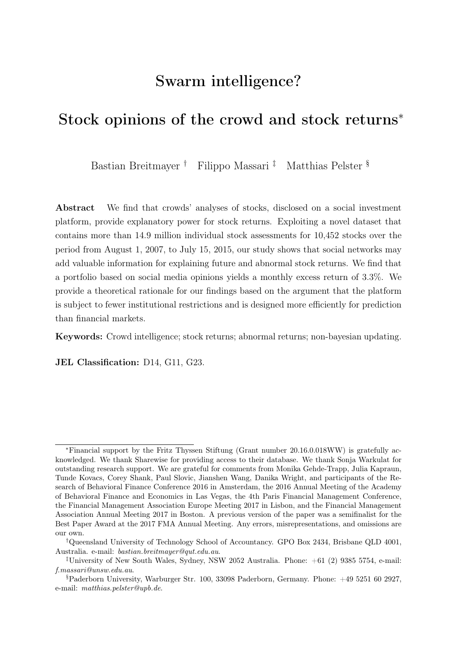- <span id="page-33-14"></span>Massari, F., 2016. Price probabilities: A class of bayesian and non-bayesian prediction rules. Working paper .
- <span id="page-33-15"></span>Massari, F., 2017. Markets with heterogeneous beliefs: A necessary and sufficient condition for. Working paper .
- <span id="page-33-10"></span>Muchnik, L., Aral, S., Taylor, S.J., 2013. Social influence bias: A randomized experiment. Science 341, 647–651.
- <span id="page-33-6"></span>Oehler, A., Horn, M., Wendt, S., 2016. Benefits from social trading? Empirical evidence for certificates on wikifolios. International Review of Financial Analysis 46, 202–210.
- <span id="page-33-3"></span>Pan, W., Altschuler, Y., Pentland, A.S., 2012. Decoding social influence and the wisdom of the crowd in financial trading network, in: International Conference on Privacy, Security, Risk and Trust and International Conference on Social Computing, Institute of Electrical and Electronics Engineers. pp. 203–209.
- <span id="page-33-8"></span>Pedraza, A., Pulga, F., 2019. Asset price effects of peer benchmarking: Evidence from a natural experiment. International Review of Economics & Finance  $62, 53 - 65$ .
- <span id="page-33-9"></span>Pelster, M., 2017. I'll have what s/he's having: A case study of a social trading network. Proceedings of the International Conference on Information Systems 2017 .
- <span id="page-33-5"></span>Pelster, M., Breitmayer, B., 2019. Attracting attention from peers: Excitement in social trading. Journal of Economic Behavior & Organization 161, 158 – 179.
- <span id="page-33-4"></span>Pelster, M., Hofmann, A., 2018. About the fear of reputational loss: Social trading and the disposition effect. Journal of Banking & Finance 94, 75–88.
- <span id="page-33-12"></span>Radner, R., 1979. Rational expectations equilibrium: Generic existence and the information revealed by prices. Econometrica 47, 655–678.
- <span id="page-33-13"></span>Sandroni, A., 2000. Do markets favor agents able to make accurate predictions? Econometrica 68, 1303–1341.
- <span id="page-33-16"></span>Stein, C., et al., 1956. Inadmissibility of the usual estimator for the mean of a multivariate normal distribution, in: Proceedings of the Third Berkeley symposium on mathematical statistics and probability, pp. 197–206.
- <span id="page-33-1"></span>Surowiecki, J., 2004. The Wisdom of Crowds. Anchor Books, New York, NY.
- <span id="page-33-11"></span>Tang, S., Liu, Q., McQueen, M., Counts, S., Jain, A., Zheng, H., Zhao, B.Y., 2017. Echo chambers in investment discussion boards, in: ICWSM (Ed.), The 11th International Conference on Web and Social Media. AAAI Press, Montreal, pp. 240–249.
- <span id="page-33-2"></span>Tetlock, P., 2007. Giving content to investor sentiment: The role of media in the stock market. The Journal of Finance 62, 1139–1168.
- <span id="page-33-0"></span>The Securities and Exchange Commission, 2012. Investment adviser use of social media. National Examination Risk Alert.
- <span id="page-33-7"></span>Tsukioka, Y., Yanagi, J., Takada, T., 2018. Investor sentiment extracted from internet stock message boards and ipo puzzles. International Review of Economics & Finance 56, 205 – 217.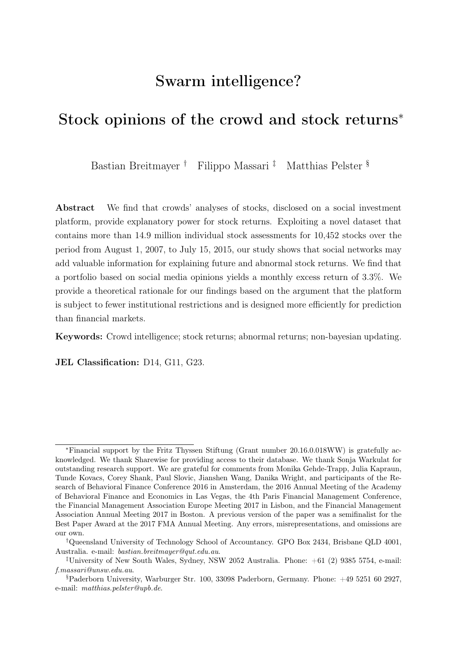- <span id="page-34-1"></span>Vasile, D., Sebastian, T.C., Radu, T., 2012. An introduction to behavioral corporate finance. Annals of the University of Oradea, Economic Science Series 21, 471–476.
- <span id="page-34-3"></span>Vovk, V.G., 1990. Aggregating strategies, in: Proc. Third Workshop on Computational Learning Theory, Morgan Kaufmann. pp. 371–383.
- <span id="page-34-2"></span>Wang, G., Wang, T., Wang, B., Sambasivan, D., Zhang, Z., 2015. Crowds on wall street: Extracting value from collaborative investing platforms, in: Proceedings of the 18th ACM Conference on Computer Supported Cooperative Work & Social Computing, ACM. pp. 17–30.
- <span id="page-34-0"></span>Yaniv, I., Milyavsky, M., 2007. Using advice from multiple sources to revise and improve judgments. Organizational Behavior and Human Decision Processes 103, 104–120.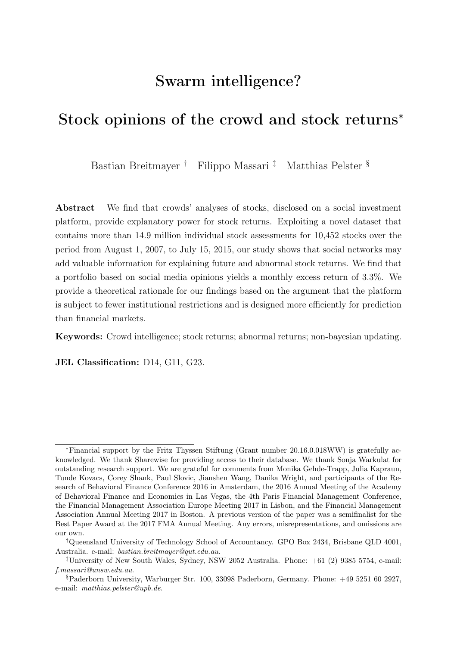| v<br><b>Stocks</b><br>۰ | UNITED TEC: \$105.62 +0.12%            |                     |                                   | <b>UNITEDHEAL \$142.59 +1.31%</b> | VERIZON COM \$55.70 |                      | $-0.41%$          | VISA INC. A                         | \$78.72 +0.52%<br>10:11 AM          |
|-------------------------|----------------------------------------|---------------------|-----------------------------------|-----------------------------------|---------------------|----------------------|-------------------|-------------------------------------|-------------------------------------|
| Dashboard ×             | Markets -                              | Crowd -             | News ~                            |                                   |                     |                      | Q Security/Ticker | $v^*$<br>Register                   | Login<br>or                         |
|                         |                                        |                     |                                   |                                   |                     |                      |                   |                                     |                                     |
| <b>WORLD MARKETS</b>    | <b>STOCK OF THE DAY</b>                |                     | <b>FEATURED PREDICTION</b>        | <b>FEATURED PORTFOLIO</b>         |                     | <b>FEATURED NEWS</b> |                   |                                     | Can you lose more money than        |
| <b>Toronto</b>          | New York                               | London <sup>1</sup> | <b>III</b> Frankfurt<br>Paris III |                                   |                     | <b>Shanghai</b>      | Tokyo             | <b>Donald Trump?</b><br>your price. | The more money you lose, the bigger |
| <b>North America</b>    | closed                                 | Europe              |                                   | open                              | Asia                |                      | open              | САТСН                               |                                     |
| Dow Jones               | 18,559<br>$+0.1496$<br>$\vert S \vert$ | <b>4 FTSE 100</b>   | 6,728                             | $+0.46%$ S                        | Nikkei 225          | 16,682               | $-0.25%$ -        | <b>THE BEAR</b>                     |                                     |
| <b>S&amp;P 500</b>      | $-0.14%$ B<br>2.164                    | $\triangle$ CAC 40  | 4,355                             | $+0.58%$ 3                        | Shanghai Co         | 3,028                | $-0.27%$ -        | <b>DOW JONES</b>                    |                                     |
| NASDAQ 100              | 4.603<br>$-0.35%$ $-$                  | $\triangle$ DAX     | 10,048                            | $+0.66%$ 3                        | + Hang Seng         | 21,878               | $+0.9496$ -       |                                     |                                     |
| S&P/TSX Co              | 14,525<br>$-0.05%$ $-$                 |                     |                                   |                                   | * KOSPI             | 2,015                | $-0.07%$ -        | ↑ 18,560.49                         | 27.44 +0.15%                        |
|                         |                                        |                     |                                   |                                   |                     |                      |                   |                                     | 18,560.00                           |
| <b>CROWD CONSENSUS</b>  | Dow Jones<br>÷Q.                       | $\checkmark$        |                                   |                                   |                     |                      |                   |                                     | 18,540.00                           |
| Buy                     |                                        |                     | <b>Buy</b>                        | Sell                              |                     |                      | Sell              |                                     | 18,520.00                           |
| <b>Stock</b>            |                                        | Crowd price         | Potential                         | Stock                             |                     | Crowd price          | Potential         |                                     | 18,500.00                           |
| Visa Inc. A             |                                        | \$110.18            | +39.96%                           | McDonalds Corp.                   |                     | \$77.06              | $-39.09%$         | 15:30                               | 22:00                               |
| Nike Inc. B             |                                        | \$78.50             | +35.91%                           | <b>3M Company</b>                 |                     | \$140.00             | $-22.75%$         | <b>MARKET SUMMARY</b>               |                                     |
| Home Depot Inc.         |                                        | \$173.35            | +26.55%                           | Merck & Co. Inc.                  |                     | \$53.65              | $-8.55%$          |                                     |                                     |
| Walt Disney Co.         |                                        | \$124.33            | +24.99%                           | <b>General Electric</b>           |                     | \$31.46              | $-4.46%$          | Dow lones                           | 18,559 +0.14% +                     |
| Coca-Cola Co.           |                                        | \$56.88             | +24.66%                           | Boeing Co.                        |                     | \$132.02             | $-1,96%$          | <b>S&amp;P 500</b>                  | $2.164 - 0.1496 +$                  |
|                         |                                        |                     |                                   |                                   |                     |                      |                   | NASDAQ 100<br>ᅠ                     | 4,603 -0.35% +                      |

<span id="page-35-0"></span>Figure 1: Welcome page of Sharewise online trading platform (upper part)

The figure depicts the upper part of the welcome page of the online trading platform Sharewise. The page presents current information on the major price indexes around the world and on the crowd consensus for the five stocks with the highest and lowest Potential, as predicted by the platform's community.

| ÷Q.<br><b>GAINERS/LOSERS</b> | Dow lones            | $\checkmark$ |                  |                                             |                      |            |
|------------------------------|----------------------|--------------|------------------|---------------------------------------------|----------------------|------------|
| Gainers                      |                      |              |                  | Losers                                      |                      |            |
| <b>Stock</b>                 | <b>Current price</b> | Change (%)   | <b>Consensus</b> | <b>Stock</b>                                | <b>Current price</b> | Change (%) |
| Apple Inc.<br>٠              | \$103.00             | $+6.55%$     | <b>Buy</b>       | Coca-Cola Co.<br>÷                          | \$43.44              | $-3.21%$   |
| Boeing Co.<br>٠              | \$137.16             | $+1.71%$     | <b>Buy</b>       | ♦ McDonalds Corp.                           | \$119.87             | $-1.51%$   |
| Verizon Communi              | \$55.17              | $+0.66%$     | <b>Sell</b>      | Travelers Compan<br>۰                       | \$116.60             | $-0.89%$   |
| Caterpillar Inc.<br>٠        | \$83.11              | $+0.44%$     | Sell             | Exxon Mobil Corp.<br>۰                      | \$90.74              | $-0.86%$   |
| <b>3M Company</b>            | \$178.18             | $+0.29%$     | Sell             | Visa Inc. A<br>÷<br>----------------------- | \$77.84              | $-0.83%$   |

<span id="page-35-1"></span>Figure 2: Welcome page of Sharewise online trading platform (middle part)

The figure depicts the middle part of the welcome page of the online trading platform Sharewise. The page presents information on the five stocks with the highest and lowest returns over the current trading day.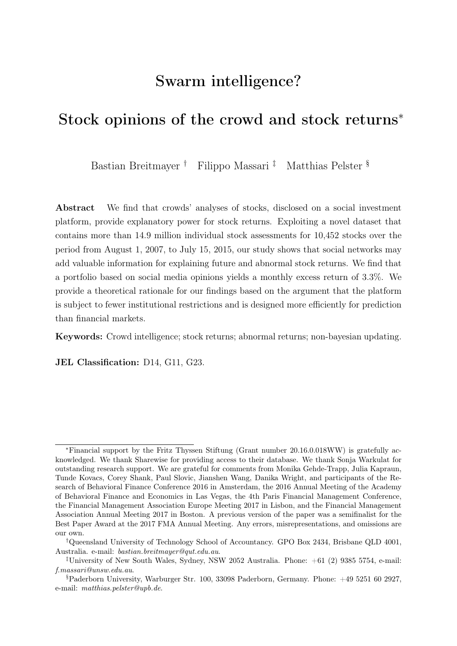| 立<br><b>UPDATES</b> | All<br>$\checkmark$         |                      |                        |                     |
|---------------------|-----------------------------|----------------------|------------------------|---------------------|
| Date                | <b>Stock</b>                | <b>Type</b>          | Category               | <b>Target price</b> |
| a day ago           | Illumina Inc.               | $\triangle$ Buy      | <b>Crowd consensus</b> | \$185.17            |
| a day ago           | Alstom S.A. Inh.            | $\bullet$ Sell       | <b>Crowd consensus</b> | \$24.94             |
| a day ago           | Henkel AG & Co. KGaA VZO    | $\triangle$ Buy      | <b>Crowd consensus</b> | \$115.31            |
| a day ago           | Air France-KLM S.A.         | $\triangle$ Buy      | Crowd consensus        | \$8,332             |
| a day ago           | Nemetschek AG               | $\bullet$ Sell       | Crowd consensus        | \$58.35             |
| a day ago           | <b>Chipmos Technologies</b> | $\bullet$ Sell       | Crowd consensus        | \$18,00             |
| a day ago           | Vinci S.A. Inh.             | $\bullet$ Sell       | Crowd consensus        | \$75.46             |
| a day ago           | Yahoo Inc.                  | $\triangleleft$ Sell | Crowd consensus        | \$37.61             |
| a day ago           | Chemocentryx Inc.           | $\bullet$ Sell       | Crowd consensus        | \$4,500             |
| a day ago           | Vericel Corp.               | $\triangle$ Buy      | Crowd consensus        | \$2,875             |

<span id="page-36-0"></span>Figure 3: Welcome page of Sharewise online trading platform (lower part)

The figure depicts the lower part of the welcome page of the online trading platform Sharewise. The lower part presents information on the latest updates of the crowd consensus.

| Dashboard ~                                                                                    | Markets ~                                  | $Crowd$ $\sim$              | News ~                |                                | Q Security/ISIN      | $\sqrt{2}$<br>Register          | Login<br>or                                                     |
|------------------------------------------------------------------------------------------------|--------------------------------------------|-----------------------------|-----------------------|--------------------------------|----------------------|---------------------------------|-----------------------------------------------------------------|
| $\rightarrow$                                                                                  | Markets > Stocks > Illumina Stock - (Inc.) |                             |                       |                                |                      |                                 |                                                                 |
| <b>Illumina Stock</b><br>US4523271090   ILMN   Healthcare Equipment & Supplies   United States |                                            |                             |                       |                                | \$143.85             | <b>Target price</b>             | \$181.74<br>Buv                                                 |
| + Watchlist<br>$\checkmark$                                                                    | $\circ$ <                                  |                             |                       | 0.730<br>May 27, 2016 10:00 PM | $+0.51%$<br>NASDAQ V | Crowd<br>\$185.17<br><b>Buy</b> | Valuation<br>Analysts<br>\$220.50<br>\$153.58<br>O.P.<br>Under. |
| Valuation<br>Snapshot                                                                          | Analysts                                   | $Crowd$ $\sim$<br>Company ~ | Charts<br><b>News</b> |                                |                      |                                 |                                                                 |
| <b>CHART</b>                                                                                   |                                            | SUMMARY OF                  |                       |                                |                      | <b>DOW JONES</b>                |                                                                 |
| ↑ 143.85                                                                                       | 0.73<br>$+0.51%$                           | Country                     | <b>United States</b>  | Volume                         | 659,750              | ▲ 17.870.00                     | 41.71 +0.23%                                                    |
|                                                                                                |                                            | Currency                    | <b>USD</b>            | Ø Volume (1m)                  | 30,617,040 m         |                                 |                                                                 |
|                                                                                                | 143,80                                     | Prev. close                 | \$143.12              | Market cap                     | \$21.174.7m          | <b>MAN</b>                      | 17,862.00                                                       |
|                                                                                                | 143.10                                     | Open                        | \$143.47              | P/E ratio (norm.)              | 45.662               |                                 | 17,850.00                                                       |
|                                                                                                |                                            | Range                       | $$141.70 - $144.50$   | EPS (norm.)                    | \$3,150              |                                 | 17,838.00                                                       |
|                                                                                                | 142.40                                     | Range (52w)                 | \$127.10 - \$242.37   | <b>RPS</b>                     | \$14.89              |                                 |                                                                 |
|                                                                                                | 141.70                                     | <b>Beta</b>                 | 0.864                 | <b>BPS</b>                     | \$12.61              | 15:30                           | 17,826,00<br>22:00                                              |
| 15:30                                                                                          |                                            |                             |                       |                                |                      |                                 |                                                                 |

<span id="page-36-1"></span>Figure 4: Instrument page of Sharewise online trading platform (upper part)

The figure depicts a screenshot of the upper part of the instrument page of a selected instrument (Example: Illumina Stock).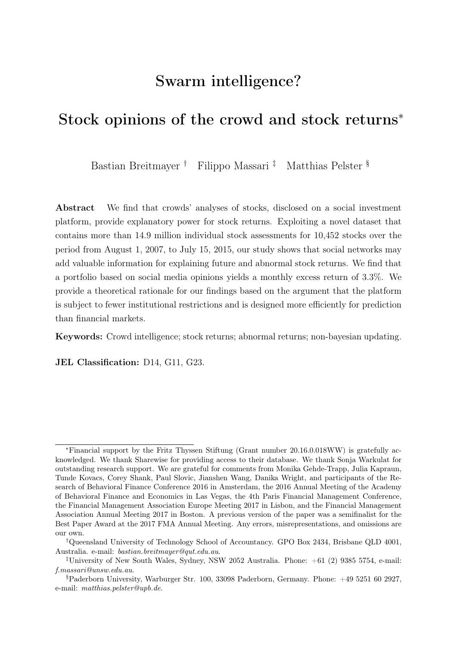

Figure 5: User front end of Sharewise online trading platform

<span id="page-37-0"></span>The figure depicts the user front end of the online trading platform Sharewise for the stock of Apple Inc. The right-hand side shows the current stock value and the most recent change in the stock price. Below, the front end shows the assessment of the crowd, the fundamental value of the stock, and the assessment of professional stock analysts. Next, the front end shows a cumulated target price calculated by Sharewise. Below this information, users can provide their own contribution to the crowd assessment. Users can voice buy or sell recommendations and specify a target price. They can provide information on the basis for their assessment and whether they are invested in the stock through a long or short position.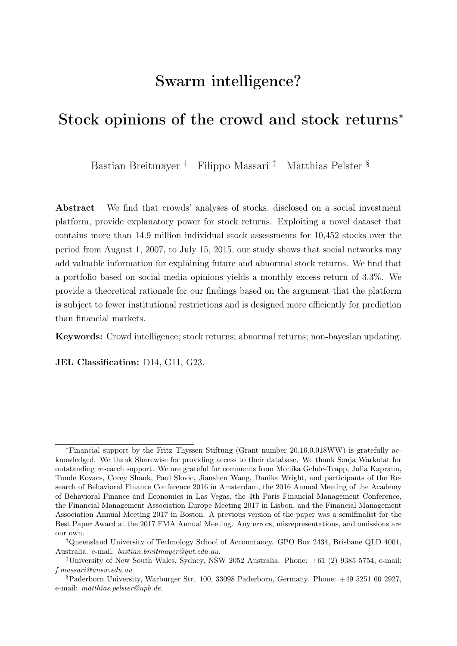

<span id="page-38-2"></span><span id="page-38-1"></span>Figure 6: Evolution of stock prices and crowd consensus for selected stocks.

The figure presents the evolution of stock prices (black) and the crowd consensus (red) of the Sharewise social investment platform for selected stocks over our sample period from 2007 to 2015. The upper-left panel shows the evolution of stock of 3M Company, the top-right panel reports on J.P Morgan Chase, the lower-left panel on Exxon Mobile, and the lower-right panel shows the evolution of Apple stock and the crowd consensus.

| Date       | <b>ISIN</b>  | Instrument ID | Buy | Sell | Average Expected Price |
|------------|--------------|---------------|-----|------|------------------------|
| 28.01.2011 | DE0005140008 | 1,650         | 119 | 11   | 49.721                 |
| 28.01.2011 | NL0000235190 | 2,164         | 23  | 11   | 20.97                  |
| 28.01.2011 | FR0000120628 | 3,861         | 57  | 16   | 15.391                 |
| 28.01.2011 | US0378331005 | 4,335         | 28  | 14   | 38.204                 |
| 31.01.2011 | DE0005190003 | 1,555         | 26  | 11   | 56.986                 |
| 31.01.2011 | DE0005140008 | 1,650         | 120 | 12   | 49.689                 |
| 31.01.2011 | FR0000120628 | 3,861         | 57  | 17   | 15.419                 |
| 31.01.2011 | US0378331005 | 4,335         | 29  | 14   | 38.23                  |

<span id="page-38-0"></span>Table 1: Example excerpt of Sharewise dataset

The table provides an example excerpt of the Sharewise dataset. The data contain the date, the ISIN of the underlying, a unique Sharewise identifier, the total number of buy and sell recommendations and the average expected price (crowd consensus).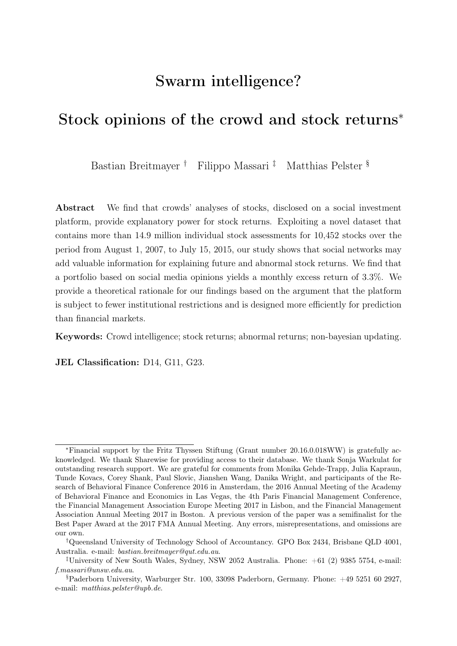|                              | N      | Mean     | <b>SD</b> | Skewness | Kurtosis | Median         | Min        | Max       |
|------------------------------|--------|----------|-----------|----------|----------|----------------|------------|-----------|
| Total opinion                | 73,015 | 170.404  | 363.220   | 8.617    | 144.125  | 66             |            | 13315     |
| Total buy                    | 73,015 | 140.449  | 313.514   | 9.203    | 169.730  | 63             | $\theta$   | 12492     |
| Total sell                   | 73,015 | 29.955   | 83.882    | 10.599   | 263.054  | $\theta$       | 0          | 4658      |
| Potential                    | 73,015 | $-0.048$ | 0.586     | 0.877    | 5.395    | $-0.062$       | $-0.996$   | 2.275     |
| Potential (buy consensus)    | 32,467 | 0.423    | 0.476     | 2.198    | 8.021    | 0.263          | 0.000      | 2.275     |
| Potential (sell consensus)   | 40,548 | $-0.425$ | 0.343     | $-0.590$ | 1.802    | $-0.286$       | $-0.996$   | 0.000     |
| 6M buy-hold                  | 73,015 | 0.052    | 0.333     | 1.060    | 6.118    | 0.024          | $-0.679$   | 1.420     |
| Abnormal return              | 73,015 | 0.050    | 0.331     | 1.069    | 6.112    | 0.023          | $-0.669$   | 1.412     |
| Stock volatility             | 68,613 | 0.027    | 0.015     | 1.422    | 5.423    | 0.024          | 0.002      | 0.083     |
| Illiquidity                  | 61,660 | $-0.001$ | 0.002     | $-5.956$ | 40.233   | 0.000          | $-0.018$   | 0.000     |
| Stock market return          | 73,015 | 0.000    | 0.001     | $-1.074$ | 5.065    | 0.000          | $-0.008$   | 0.007     |
| Market value of equity       | 72,759 | 182      | 3.913     | 46.540   | 2563.793 | $\overline{2}$ | $\Omega$   | 290,000   |
| Market value of equity (log) | 72,759 | 7.409    | 2.778     | 0.255    | 2.934    | 7.392          | 0.000      | 19.484    |
| Total assets                 | 63,508 | 173,000  | 799,000   | 6.693    | 50.699   | $\overline{2}$ | 6          | 6,640,000 |
| Total assets (log)           | 63,508 | 14.789   | 3.038     | 0.306    | 2.681    | 14.645         | 8.652      | 22.617    |
| Book-to-market               | 63,426 | 0.696    | 0.683     | 2.448    | 11.864   | 0.539          | $-0.383$   | 4.303     |
| Earnings surprises           | 41,331 | $-1.395$ | 132.748   | $-1.322$ | 19.596   | 2.929          | $-758.871$ | 600.000   |
| Analyst opinion              | 62,702 | $-0.010$ | 0.237     | $-0.047$ | 16.789   | $-0.007$       | $-0.984$   | 1.227     |
| News sentiment               | 10,993 | 0.158    | 0.255     | $-0.256$ | 6.223    | 0.164          | $-1.000$   | 1.000     |
| Google search volume         | 63,153 | 36.742   | 23.966    | 0.304    | 2.008    | 35.300         | 0.000      | 97.383    |

#### <span id="page-39-0"></span>Table 2: Summary statistics: Sharewise data and dependent variables

The table reports summary statistics for the main variables of interest for our dataset. We report summary statistics for Sharewise data and dependent variables. Data on crowd stock opinions are from Sharewise. Stock price data and fundamentals are from Thomson Reuters Datastream and Worldscope. In total, our sample runs from August 1, 2007, to July 15, 2015, and contains 73,015 stock-quarter observations. Detailed data definitions and data sources can be found in Table [A.1.](#page-38-0) Market value of equity and Total assets are given in thousands of USD.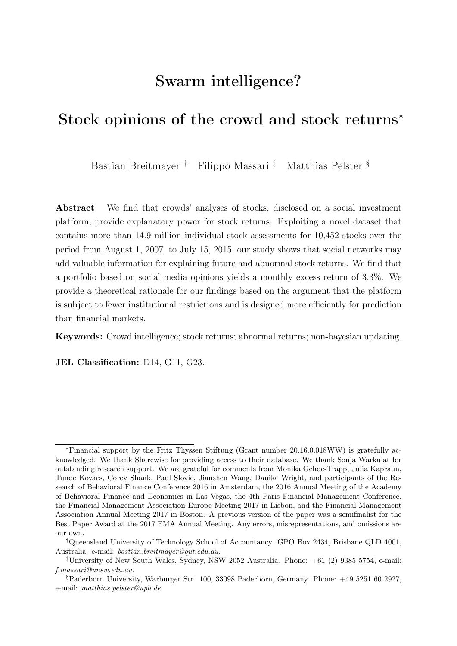<span id="page-40-0"></span>

| Variables            |                     |                     |                     |                     |                     |                     |                     |                     | Total buy Total sell Potential 6M buy-hold Abnormal return Analyst opinion Earnings surprises News sentiment Google search volume Stock market return Total assets Book-to-market Stock volatility |                     |                     |                     |                     |
|----------------------|---------------------|---------------------|---------------------|---------------------|---------------------|---------------------|---------------------|---------------------|----------------------------------------------------------------------------------------------------------------------------------------------------------------------------------------------------|---------------------|---------------------|---------------------|---------------------|
| Total sell           | 0.506<br>(0.000)    |                     |                     |                     |                     |                     |                     |                     |                                                                                                                                                                                                    |                     |                     |                     |                     |
| Potential            | 0.166<br>(0.000)    | $-0.033$<br>(0.000) |                     |                     |                     |                     |                     |                     |                                                                                                                                                                                                    |                     |                     |                     |                     |
| 6M buy-hold          | $-0.033$<br>(0.000) | $-0.001$<br>(0.726) | 0.025<br>(0.000)    |                     |                     |                     |                     |                     |                                                                                                                                                                                                    |                     |                     |                     |                     |
| Abnormal return      | $-0.031$<br>(0.000) | 0.000<br>(0.972)    | 0.022<br>(0.000)    | 0.998<br>(0.000)    |                     |                     |                     |                     |                                                                                                                                                                                                    |                     |                     |                     |                     |
| Analyst opinion      | 0.021<br>(0.000)    | 0.025<br>(0.000)    | 0.296<br>(0.000)    | $-0.176$<br>(0.000) | $-0.174$<br>(0.000) |                     |                     |                     |                                                                                                                                                                                                    |                     |                     |                     |                     |
| Earnings surprises   | $-0.007$<br>(0.179) | 0.010<br>(0.033)    | $-0.025$<br>(0.000) | 0.060<br>(0.000)    | 0.059<br>(0.000)    | $-0.009$<br>(0.073) |                     |                     |                                                                                                                                                                                                    |                     |                     |                     |                     |
| News sentiment       | $-0.044$<br>(0.000) | $-0.068$<br>(0.000) | 0.002<br>(0.817)    | 0.085<br>(0.000)    | 0.086<br>(0.000)    | $-0.038$<br>(0.000) | 0.019<br>(0.053)    |                     |                                                                                                                                                                                                    |                     |                     |                     |                     |
| Google search volume | 0.046<br>(0.000)    | 0.042<br>(0.000)    | $-0.037$<br>(0.000) | 0.011<br>(0.008)    | 0.010<br>(0.008)    | $-0.009$<br>(0.038) | $-0.005$<br>(0.381) | $-0.024$<br>(0.014) |                                                                                                                                                                                                    |                     |                     |                     |                     |
| Stock market return  | $-0.014$<br>(0.000) | 0.010<br>(0.008)    | 0.009<br>(0.016)    | 0.324<br>(0.000)    | 0.320<br>(0.000)    | $-0.129$<br>(0.000) | 0.021<br>(0.000)    | $-0.014$<br>(0.131) | $-0.015$<br>(0.000)                                                                                                                                                                                |                     |                     |                     |                     |
| Total assets         | 0.008<br>(0.046)    | 0.039<br>(0.000)    | $-0.276$<br>(0.000) | $-0.004$<br>(0.283) | $-0.003$<br>(0.502) | $-0.037$<br>(0.000) | 0.016<br>(0.003)    | $-0.060$<br>(0.000) | 0.009<br>(0.043)                                                                                                                                                                                   | 0.008<br>(0.036)    |                     |                     |                     |
| Book-to-market       | 0.060<br>(0.000)    | 0.011<br>(0.006)    | 0.212<br>(0.000)    | $-0.121$<br>(0.000) | $-0.121$<br>(0.000) | 0.187<br>(0.000)    | $-0.032$<br>(0.000) | $-0.026$<br>(0.010) | 0.025<br>(0.000)                                                                                                                                                                                   | $-0.031$<br>(0.000) | 0.079<br>(0.000)    |                     |                     |
| Stock volatility     | 0.014<br>(0.000)    | $-0.057$<br>(0.000) | 0.220<br>(0.000)    | $-0.119$<br>(0.000) | $-0.117$<br>(0.000) | 0.038<br>(0.000)    | $-0.063$<br>(0.000) | $-0.023$<br>(0.019) | $-0.117$<br>(0.000)                                                                                                                                                                                | $-0.131$<br>(0.000) | $-0.084$<br>(0.000) | 0.071<br>(0.000)    |                     |
| Illiquidity          | 0.025<br>(0.000)    | 0.051<br>(0.000)    | $-0.197$<br>(0.000) | 0.057<br>(0.000)    | 0.062<br>(0.000)    | $-0.039$<br>(0.000) | 0.025<br>(0.000)    | $-0.011$<br>(0.266) | 0.044<br>(0.000)                                                                                                                                                                                   | 0.042<br>(0.000)    | 0.050<br>(0.000)    | $-0.100$<br>(0.000) | $-0.193$<br>(0.000) |

#### Table 3: Correlations between selected variables

The table reports the pairwise correlations between selected variables (upper value).  $p$ -values are shown in parenthesis. Data on crowd stock opinions are from Sharewise. Stock price data and fundamentals are from *Thomson Reuters Datastream* and *Worldscope*, Google search volume data are from *Google trends*, and<br>Now applicated the sea from *Ownall Interal are search was from A* News sentiment data are from *Quandl*. In total, our sample runs from August 1, 2007, to July 15, 2015, and contains 73,015 stock-quarter observations. Detailed data definitions and data sources can be found in Table [A.1.](#page-38-2)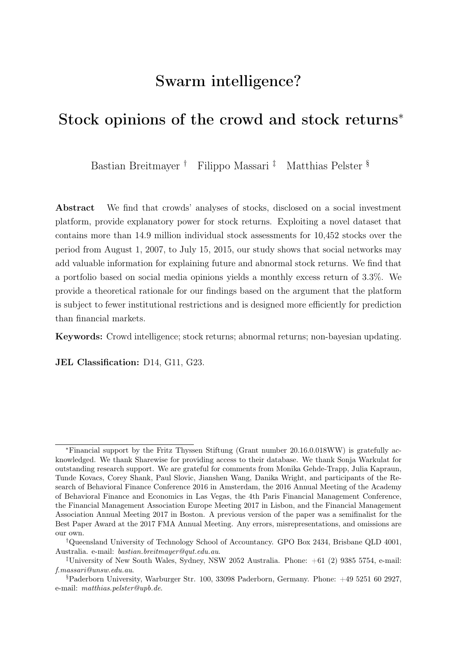|              | Model $(1)$ | Model $(2)$ | Model $(3)$ | Model $(4)$ | Model $(5)$ | Model $(6)$ | Model $(7)$ | Model $(8)$ |
|--------------|-------------|-------------|-------------|-------------|-------------|-------------|-------------|-------------|
| Alpha        | 0.0331      | 0.0321      | 0.0332      | 0.0321      | 0.0321      | 0.0321      | 0.0326      | 0.0331      |
|              | (0.0026)    | (0.0027)    | (0.0026)    | (0.0028)    | (0.0027)    | (0.0027)    | (0.0035)    | (0.0028)    |
| $Mkt-RF$     | $-0.0000$   | 0.0002      | $-0.0002$   | 0.0002      | 0.0002      | 0.0001      | 0.0002      | 0.0002      |
|              | (0.0003)    | (0.0004)    | (0.0004)    | (0.0004)    | (0.0004)    | (0.0004)    | (0.0004)    | (0.0004)    |
| HML          |             | 0.0004      | 0.0005      | 0.0007      | 0.0004      | 0.0000      | 0.0004      | 0.0002      |
|              |             | (0.0007)    | (0.0006)    | (0.0007)    | (0.0007)    | (0.0007)    | (0.0007)    | (0.0007)    |
| SMB          |             | 0.0011      | 0.0007      | 0.0011      | 0.0011      | 0.0010      | 0.0011      | 0.0012      |
|              |             | (0.0008)    | (0.0007)    | (0.0008)    | (0.0008)    | (0.0008)    | (0.0008)    | (0.0008)    |
| <b>RMW</b>   |             | 0.0028      |             | 0.0028      | 0.0028      | 0.0031      | 0.0028      | 0.0027      |
|              |             | (0.0015)    |             | (0.0015)    | (0.0016)    | (0.0015)    | (0.0016)    | (0.0015)    |
| <b>CMA</b>   |             | $-0.0001$   |             | $-0.0003$   | $-0.0001$   | $-0.0005$   | 0.0000      | 0.0004      |
|              |             | (0.0016)    |             | (0.0015)    | (0.0015)    | (0.0018)    | (0.0016)    | (0.0017)    |
| Mom          |             |             | 0.0002      | 0.0002      |             |             |             |             |
|              |             |             | (0.0003)    | (0.0003)    |             |             |             |             |
| <b>STrev</b> |             |             |             |             | 0.0000      |             |             |             |
|              |             |             |             |             | (0.0005)    |             |             |             |
| <b>LTrev</b> |             |             |             |             |             | 0.0009      |             |             |
|              |             |             |             |             |             | (0.0008)    |             |             |
| <b>SENT</b>  |             |             |             |             |             |             | 0.0021      |             |
|              |             |             |             |             |             |             | (0.0074)    |             |
| <b>OSENT</b> |             |             |             |             |             |             |             | 0.0083      |
|              |             |             |             |             |             |             |             | (0.0076)    |
| Observations | 96          | 96          | 96          | 96          | 96          | 96          | 96          | 96          |

<span id="page-41-0"></span>Table 4: Price performance of Potential stocks

The table reports coefficients obtained from the time-series regressions on returns of a portfolio that is long stocks with the largest potential (upper third) and short stocks with the lowest potential (lower third) as indicated by the Sharewise crowd on a host of well-known factors. Each regression is estimated with monthly aggregated data over the 96-month sample period from August 2007 to July 2015. Mkt-RF is the excess monthly market return. SMB is the return of a portfolio long small stocks and short large stocks. HML is the return of a portfolio long high book-to-market stocks and short low book-tomarket stocks. RMW is the return of a portfolio long high operating profitability stocks and short low operating profitability stocks. CMA is the return of a portfolio long high investment stocks and short low investment stocks. MOM denotes the momentum factor proposed by [Carhart](#page-30-7) [\(1997\)](#page-30-7). STrev and LTrev denote returns of portfolios created on short-term and long-term reversal, respectively. SENT and OSENT denote returns of portfolios based on investor sentiment and on sentiment proxies orthogonalized with respect to macroeconomic indicators [\(Baker and Wurgler, 2006\)](#page-30-3), respectively. Standard errors (reported in parentheses) are adjusted for serial correlation using the Newey-West correction. Data on crowd stock opinions are from Sharewise. Returns of traditional factors are obtained from Kenneth French official website.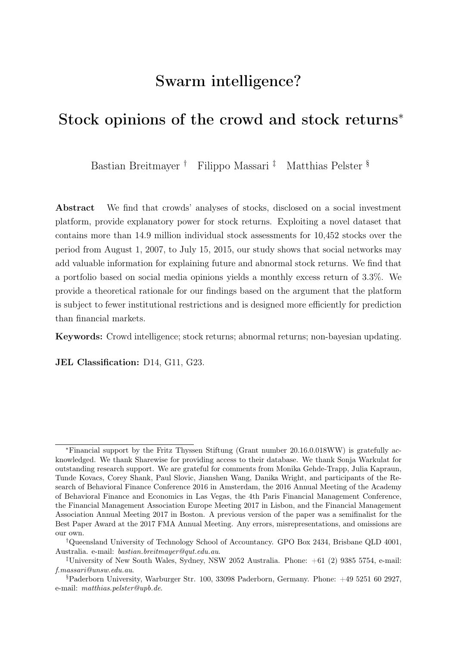|                                                            | Model(1)                         | Model(2)                         | Model(3)                       | Model $(4)$                    | Model(5)                         | Model(6)                       |
|------------------------------------------------------------|----------------------------------|----------------------------------|--------------------------------|--------------------------------|----------------------------------|--------------------------------|
|                                                            | Full sample                      | Full sample + Controls           | Low Consensus                  | High Consensus                 | High Potential vola              | High Sell Potential            |
| Potential                                                  | 0.092<br>(14.38)                 | 0.096<br>(11.20)                 | 0.116<br>(3.68)                | 0.107<br>(6.64)                | 0.075<br>(7.20)                  | 0.138<br>(5.96)                |
| Analyst opinion                                            |                                  | 0.243<br>(9.07)                  | 0.343<br>(4.74)                | 0.272<br>(4.37)                | 0.223<br>(6.54)                  | 0.446<br>(5.61)                |
| Stock market return                                        |                                  | 49.81<br>(18.94)                 | 47.22<br>(3.61)                | 32.54<br>(6.01)                | 53.71<br>(14.84)                 | 60.35<br>(8.12)                |
| Google search volume                                       |                                  | 0.001<br>(2.22)                  | 0.002<br>(1.71)                | 0.001<br>(1.76)                | 0.001<br>(2.00)                  | 0.001<br>(1.49)                |
| Illiquidity                                                |                                  | 12.81<br>(6.58)                  | 24.65<br>(2.04)                | 11.48<br>(4.83)                | 10.22<br>(3.81)                  | $-1.857$<br>$(-0.10)$          |
| Size                                                       |                                  | $-0.000$<br>$(-0.02)$            | 0.024<br>(0.63)                | 0.020<br>(1.02)                | 0.024<br>(1.66)                  | $-0.006$<br>$(-0.18)$          |
| Book-to-market                                             |                                  | $-0.155$<br>$(-17.93)$           | $-0.102$<br>$(-3.28)$          | $-0.136$<br>$(-8.20)$          | $-0.151$<br>$(-14.15)$           | $-0.171$<br>$(-5.17)$          |
| Dividend yield                                             |                                  | $-0.026$<br>$(-18.10)$           | $-0.021$<br>$(-3.65)$          | $-0.020$<br>$(-8.13)$          | $-0.025$<br>$(-13.55)$           | $-0.033$<br>$(-6.94)$          |
| Constant                                                   | $-0.173$<br>$(-11.00)$           | 0.011<br>(0.07)                  | $-0.421$<br>$(-0.75)$          | $-0.402$<br>$(-1.44)$          | $-0.424$<br>$(-1.98)$            | 0.189<br>(0.32)                |
| Stock fixed e ects<br>Time fixed e ects                    | Yes<br>Yes                       | Yes<br>Yes                       | Yes<br>Yes                     | Yes<br>Yes                     | Yes<br>Yes                       | Yes<br>Yes                     |
| Observations<br>$\mathbb{R}^2$<br>Adj. $\mathbb{R}^2$<br>F | 73,015<br>0.24<br>0.24<br>293.00 | 44,944<br>0.34<br>0.33<br>268.00 | 1,564<br>0.46<br>0.45<br>17.61 | 9,023<br>0.35<br>0.35<br>62.24 | 26,156<br>0.37<br>0.37<br>190.40 | 7,622<br>0.29<br>0.29<br>27.76 |

<span id="page-42-0"></span>Table 5: Sharewise stock opinions and six-month buy-and-hold returns (Panel A)

The table reports the results of our panel regressions with stock and time fixed effects using six month buy-and-hold return as dependent variable. Stock opinions are lagged by six months. We use robust standard errors clustered at the individual stock level to mitigate possible issues due to heteroskedasticity and serial correlation. t-statistics are in parentheses. Data on crowd stock opinions are from Sharewise. Stock price data and fundamentals are from Thomson Reuters Datastream and Worldscope, and Google search volume data are from *Google trends*. In total, our sample runs from August 1, 2007, to July 15, 2015, and contains 73,015 stock-quarter observations. Detailed data definitions and data sources can be found in Table [A.1.](#page-38-0)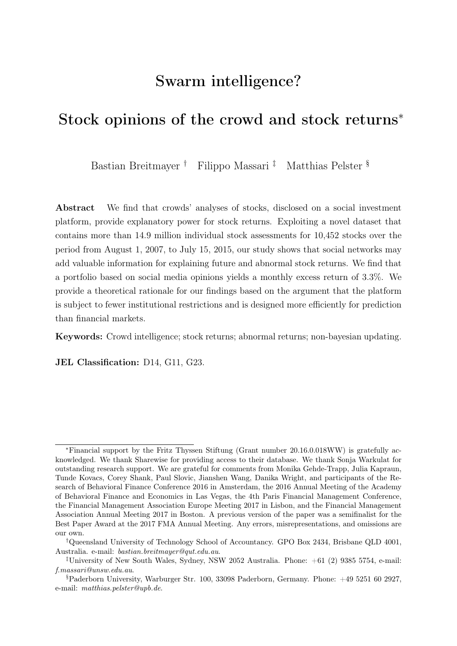|                                                                        | Model (1)                        | Model $(2)$                     | Model (3)                       | Model $(4)$                     | Model (5)                       | Model (6)                       | Model (7)                      | Model (8)                       | Model (9)                      |
|------------------------------------------------------------------------|----------------------------------|---------------------------------|---------------------------------|---------------------------------|---------------------------------|---------------------------------|--------------------------------|---------------------------------|--------------------------------|
|                                                                        | Hard to Value                    | Easy to Value                   | Loser Stocks                    | Low Attention                   | <b>High Attention</b>           | Few Opinions                    | Many Opinions                  | Earnings surprises              | News Sentiment                 |
| Potential                                                              | 0.129                            | 0.026                           | 0.099                           | 0.126                           | 0.183                           | 0.079                           | 0.146                          | 0.115                           | 0.161                          |
|                                                                        | (7.73)                           | (2.93)                          | (8.60)                          | (7.61)                          | (9.52)                          | (6.91)                          | (6.06)                         | (9.51)                          | (6.54)                         |
| Analyst opinion                                                        | 0.307                            | 0.208                           | 0.259                           | 0.398                           | 0.368                           | 0.373                           | 0.181                          | 0.220                           | 0.442                          |
|                                                                        | (7.42)                           | (4.29)                          | (7.89)                          | (6.97)                          | (7.22)                          | (9.08)                          | (3.38)                         | (5.85)                          | (4.65)                         |
| Stock market return                                                    | 54.19                            | 36.01                           | 52.83                           | 43.62                           | 45.87                           | 47.08                           | 56.95                          | 57.06                           | 72.69                          |
|                                                                        | (8.51)                           | (13.16)                         | (13.15)                         | (8.60)                          | (8.07)                          | (10.47)                         | (10.35)                        | (13.46)                         | (3.61)                         |
| Google search volume                                                   | 0.001                            | 0.000                           | 0.001                           | $-0.000$                        | 0.001                           | 0.001                           | $-0.000$                       | 0.000                           | 0.003                          |
|                                                                        | (1.50)                           | (1.22)                          | (1.61)                          | $(-0.04)$                       | (0.62)                          | (1.45)                          | $(-0.62)$                      | (0.96)                          | (2.49)                         |
| Illiquidity                                                            | 12.50                            | 8.12                            | 12.70                           | 12.45                           | 10.07                           | 10.33                           | 16.04                          | 9.25                            | 68.60                          |
|                                                                        | (3.46)                           | (0.75)                          | (3.72)                          | (2.91)                          | (1.43)                          | (2.82)                          | (2.60)                         | (1.69)                          | (0.90)                         |
| Size                                                                   | 0.030                            | $-0.016$                        | 0.003                           | 0.014                           | 0.044                           | 0.025                           | $-0.030$                       | $-0.006$                        | 0.015                          |
|                                                                        | (1.52)                           | $(-1.40)$                       | (0.21)                          | (0.59)                          | (1.64)                          | (1.50)                          | $(-1.18)$                      | $(-0.36)$                       | (0.27)                         |
| Book-to-market                                                         | $-0.179$                         | $-0.110$                        | $-0.147$                        | $-0.202$                        | $-0.218$                        | $-0.160$                        | $-0.170$                       | $-0.157$                        | $-0.210$                       |
|                                                                        | $(-11.40)$                       | $(-5.63)$                       | $(-14.13)$                      | $(-11.66)$                      | $(-12.00)$                      | $(-10.78)$                      | $(-10.72)$                     | $(-11.28)$                      | $(-3.96)$                      |
| Dividend yield                                                         | $-0.033$                         | $-0.024$                        | $-0.026$                        | $-0.026$                        | $-0.024$                        | $-0.023$                        | $-0.027$                       | $-0.028$                        | $-0.043$                       |
|                                                                        | $(-9.50)$                        | $(-9.15)$                       | $(-14.01)$                      | $(-7.75)$                       | $(-7.36)$                       | $(-9.09)$                       | $(-9.40)$                      | $(-12.83)$                      | $(-4.94)$                      |
| Earnings surprises                                                     |                                  |                                 |                                 |                                 |                                 |                                 |                                | 0.000<br>(1.36)                 |                                |
| News sentiment                                                         |                                  |                                 |                                 |                                 |                                 |                                 |                                |                                 | $-0.039$<br>$(-1.80)$          |
| Constant                                                               | $-0.504$                         | 0.326                           | $-0.0339$                       | $-0.244$                        | $-0.613$                        | $-0.485$                        | 0.533                          | 0.143                           | $-0.174$                       |
|                                                                        | $(-1.86)$                        | (1.66)                          | $(-0.16)$                       | $(-0.70)$                       | $(-1.52)$                       | $(-1.81)$                       | (1.36)                         | (0.59)                          | $(-0.20)$                      |
| Stock fixed e ects                                                     | Yes                              | Yes                             | Yes                             | Yes                             | Yes                             | Yes                             | Yes                            | Yes                             | Yes                            |
| Time fixed e ects                                                      | Yes                              | Yes                             | Yes                             | Yes                             | Yes                             | Yes                             | Yes                            | Yes                             | Yes                            |
| Observations<br>$\mathbb{R}^2$<br>Adj. $\mathbb{R}^2$<br>F<br>$\equiv$ | 11,664<br>0.37<br>0.37<br>103.30 | 11,667<br>0.24<br>0.24<br>65.29 | 22,160<br>0.38<br>0.38<br>186.6 | 10,680<br>0.42<br>0.41<br>74.91 | 10,777<br>0.43<br>0.43<br>89.59 | 18,596<br>0.36<br>0.36<br>128.9 | 9,979<br>0.38<br>0.38<br>91.09 | 20,534<br>0.32<br>0.32<br>117.9 | 5,381<br>0.16<br>0.15<br>23.07 |

#### Table 5: Sharewise stock opinions and six-month buy-and-hold returns (Panel B)

The table reports the results of our panel regressions with stock and time fixed effects using six month buy-and-hold return as dependent variable. Stock opinions are lagged by six months. We use robust standard errors clustered at the individual stock level to mitigate possible issues due to heteroskedasticity and serial correlation. t-statistics are in parentheses. Data on crowd stock opinions are from Sharewise. Stock price data and fundamentals are from Thomson Reuters Datastream and Worldscope, Google search volume data are from Google trends, and News sentiment data are from Quandl. In total, our sample runs from August 1, 2007, to July 15, 2015, and contains 73,015 stock-quarter observations. Detailed data definitions and data sources can be found in Table [A.1.](#page-38-0)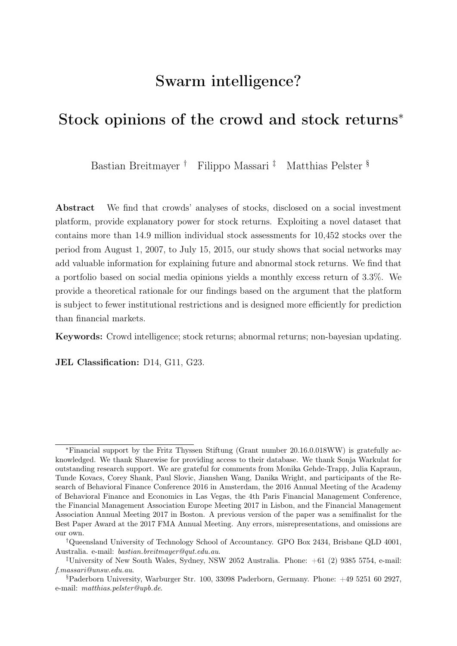|                                                            | Model (1)                        | Model (2)                        | Model (3)                      | Model (4)                      | Model (5)                        | Model (6)                      |
|------------------------------------------------------------|----------------------------------|----------------------------------|--------------------------------|--------------------------------|----------------------------------|--------------------------------|
|                                                            | Full sample                      | Full sample                      | Low Consensus                  | High Consensus                 | High Potential vola              | High Sell Potential            |
| Potential                                                  | 0.091<br>(14.31)                 | 0.069<br>(8.51)                  | 0.108<br>(3.70)                | 0.083<br>(5.44)                | 0.048<br>(5.02)                  | 0.106<br>(4.63)                |
| Analyst opinion                                            |                                  | 0.156<br>(6.29)                  | 0.239<br>(3.28)                | 0.183<br>(3.23)                | 0.162<br>(5.25)                  | 0.364<br>(4.76)                |
| Google search volume                                       |                                  | 0.001<br>(1.86)                  | 0.001<br>(1.01)                | 0.001<br>(1.79)                | 0.001<br>(1.91)                  | 0.000<br>(0.61)                |
| <b>Illiquidity</b>                                         |                                  | 18.49<br>(9.68)                  | 20.79<br>(1.94)                | 16.21<br>(6.75)                | 16.15<br>(5.88)                  | 1.57<br>(0.06)                 |
| Constant                                                   | $-0.223$<br>$(-13.86)$           | $-0.228$<br>$(-9.76)$            | $-0.230$<br>$(-1.87)$          | $-0.344$<br>$(-11.18)$         | $-0.305$<br>$(-8.87)$            | $-0.097$<br>$(-0.47)$          |
| Stock fixed e ects<br>Time fixed e ects                    | Yes<br>Yes                       | <b>Yes</b><br>Yes                | Yes<br>Yes                     | Yes<br>Yes                     | <b>Yes</b><br>Yes                | <b>Yes</b><br>Yes              |
| Observations<br>$\mathbb{R}^2$<br>Adj. $\mathbb{R}^2$<br>F | 73,015<br>0.23<br>0.23<br>299.80 | 49,617<br>0.27<br>0.27<br>221.60 | 1,679<br>0.41<br>0.40<br>14.38 | 9,990<br>0.29<br>0.29<br>64.73 | 29,199<br>0.30<br>0.30<br>165.20 | 8,543<br>0.22<br>0.22<br>24.12 |

#### <span id="page-44-0"></span>Table 6: Sharewise stock opinions and abnormal returns (Panel A)

The table reports the results of our panel regressions with stock and time fixed effects on abnormal returns over a six month period. Stock opinions are lagged by six months. We use robust standard errors clustered at the individual stock level to mitigate possible issues due to heteroskedasticity and serial correlation. t-statistics are in parentheses. Data on crowd stock opinions are from Sharewise. Stock price data and fundamentals are from Thomson Reuters Datastream and Worldscope, and Google search volume data are from *Google trends*. In total, our sample runs from August 1, 2007, to July 15, 2015, and contains 73,015 stock-quarter observations. Detailed data definitions and data sources can be found in Table [A.1.](#page-38-0)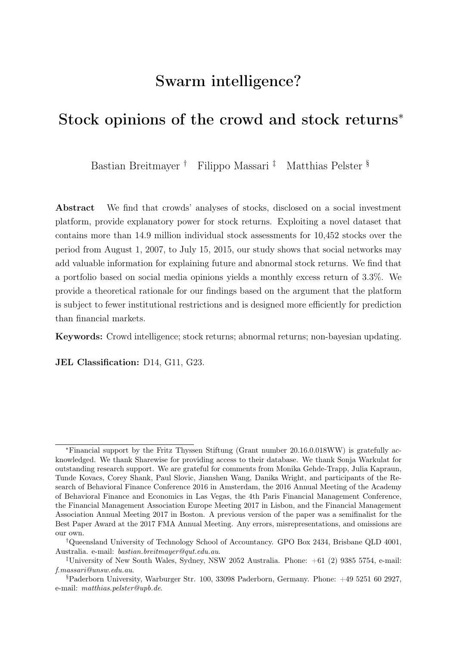|                      | Model(1)      | Model (2)     | Model (3)    | Model (4)     | Model (5)             | Model (6)    | Model(7)      | Model (8)          | Model (9)             |
|----------------------|---------------|---------------|--------------|---------------|-----------------------|--------------|---------------|--------------------|-----------------------|
|                      | Hard to Value | Easy to Value | Loser Stocks | Low Attention | <b>High Attention</b> | Few Opinions | Many Opinions | Earnings surprises | News Sentiment        |
| Potential            | 0.112         | 0.016         | 0.102        | 0.109         | 0.146                 | 0.055        | 0.100         | 0.078              | 0.132                 |
|                      | (7.21)        | (1.91)        | (7.13)       | (6.91)        | (8.11)                | (5.08)       | (4.24)        | (6.87)             | (6.15)                |
| Analyst opinion      | 0.224         | 0.164         | 0.158        | 0.328         | 0.269                 | 0.295        | 0.115         | 0.157              | 0.294                 |
|                      | (5.69)        | (3.73)        | (3.52)       | (6.39)        | (5.40)                | (8.30)       | (2.22)        | (4.51)             | (3.65)                |
| Google search volume | 0.002         | 0.000         | 0.001        | $-0.000$      | 0.001                 | 0.001        | $-0.000$      | 0.001              | 0.002                 |
|                      | (2.20)        | (0.51)        | (1.41)       | $(-0.12)$     | (1.01)                | (1.44)       | $(-0.55)$     | (1.17)             | (2.05)                |
| Illiquidity          | 20.95         | 13.45         | 14.95        | 19.91         | 20.34                 | 17.69        | 23.60         | 25.65              | 184.80                |
|                      | (6.27)        | (1.28)        | (3.55)       | (5.18)        | (3.05)                | (4.63)       | (3.57)        | (4.03)             | (2.00)                |
| Earnings surprises   |               |               |              |               |                       |              |               | 0.000<br>(2.96)    |                       |
| News sentiment       |               |               |              |               |                       |              |               |                    | $-0.054$<br>$(-2.66)$ |
| Constant             | $-0.293$      | $-0.213$      | $-0.212$     | $-0.232$      | $-0.237$              | $-0.346$     | $-0.198$      | $-0.185$           | 0.009                 |
|                      | $(-5.14)$     | $(-3.45)$     | $(-7.06)$    | $(-3.90)$     | $(-3.76)$             | $(-3.06)$    | $(-5.40)$     | $(-5.57)$          | (0.20)                |
| Stock fixed e ects   | Yes           | Yes           | Yes          | Yes           | Yes                   | Yes          | Yes           | Yes                | Yes                   |
| Time fixed e ects    | Yes           | Yes           | Yes          | Yes           | Yes                   | Yes          | Yes           | Yes                | Yes                   |
| Observations         | 13,155        | 12,985        | 12,171       | 11.857        | 12,207                | 21.087       | 10.499        | 23,148             | 6,511                 |
| $\mathbb{R}^2$       | 0.30          | 0.18          | 0.36         | 0.34          | 0.35                  | 0.29         | 0.32          | 0.25               | 0.09                  |
| Adj. R <sup>2</sup>  | 0.30          | 0.18          | 0.36         | 0.34          | 0.35                  | 0.29         | 0.32          | 0.25               | 0.09                  |
| E                    | 91.19         | 61.61         | 110.60       | 59.09         | 76.91                 | 122.00       | 69.22         | 95.91              | 24.53                 |

#### Table 6: Sharewise stock opinions and abnormal returns (Panel B)

The table reports the results of our panel regressions with stock and time fixed effects on abnormal returns over a six month period. Stock opinions are lagged by six months. We use robust standard errors clustered at the individual stock level to mitigate possible issues due to heteroskedasticity and serial correlation. t-statistics are in parentheses. Data on crowd stock opinions are from *Sharewise*. Stock price data and fundamentals are from Thomson Reuters Datastream and Worldscope, Google search volume data are from *Google trends*, and News sentiment data are from *Quandl*. In total, our sample runs from August 1, 2007, to July 15, 2015, and contains 73,015 stock-quarter observations. Detailed data definitions and data sources can be found in Table [A.1.](#page-38-0)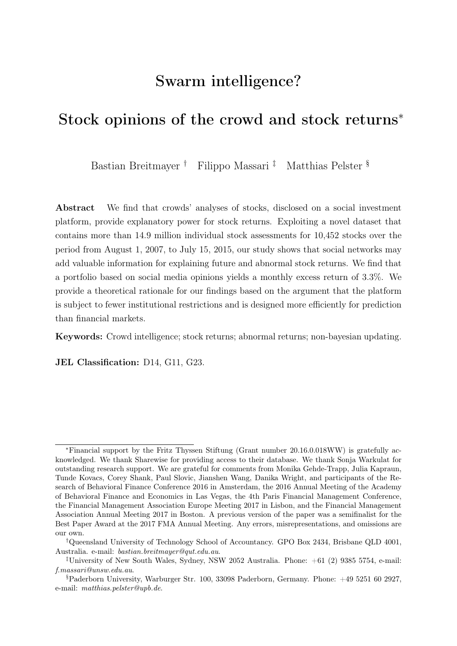| Variable name        | Definition                                                                                                                                                                                                                                                                                                                                          | Data source           |
|----------------------|-----------------------------------------------------------------------------------------------------------------------------------------------------------------------------------------------------------------------------------------------------------------------------------------------------------------------------------------------------|-----------------------|
| Potential            | Sharewise crowd stock assessment consensus (expected stock return).                                                                                                                                                                                                                                                                                 | Sharewise.            |
| Total opinion        | Number of total opinions transmitted through Sharewise.                                                                                                                                                                                                                                                                                             | Sharewise.            |
| Total buy            | Number of total buy recommendations by the <i>Sharewise</i> community.                                                                                                                                                                                                                                                                              | Sharewise.            |
| Total sell           | Number of total sell recommendations by the Sharewise community.                                                                                                                                                                                                                                                                                    | Sharewise.            |
| 6M buy-hold          | Six month buy and hold return.                                                                                                                                                                                                                                                                                                                      | Datastream, own calc. |
| Abnormal return      | Six month abnormal return.                                                                                                                                                                                                                                                                                                                          | Datastream, own calc. |
| <b>Illiquidity</b>   | Amihud measure of an individual stock's illiquidity adjusted following the<br>procedure proposed by Karolyi et al. (2012). The adjusted Amihud measure<br>is defined as $-\ln\left(1+\frac{ R_{i,t} }{P_{i,t}VO_{i,t}}\right)$ , where $R_{i,t}$ is the return, $P_{i,t}$ is the price<br>and $VO_{i,t}$ is the trading volume of stock i on day t. | Datastream, own calc. |
| Stock volatility     | Conditional volatility of stock returns estimated with GARCH (1, 1) model<br>based on daily closing prices.                                                                                                                                                                                                                                         | Datastream, own calc. |
| Potential volatility | Conditional volatility of expected stock returns (crowd opinions) estimated<br>with GARCH (1, 1) model based on daily opinions.                                                                                                                                                                                                                     | Sharewise, own calc.  |
| Stock market return  | Log stock market returns of the appropriate benchmark index.                                                                                                                                                                                                                                                                                        | Datastream, own calc. |
| Risk free rate       | Level of the risk free interest rate.                                                                                                                                                                                                                                                                                                               | Datastream.           |

Table A.1: Variable definitions and data sources.

The table presents both definitions and data sources for all dependent and independent variables that are used in our empirical study.